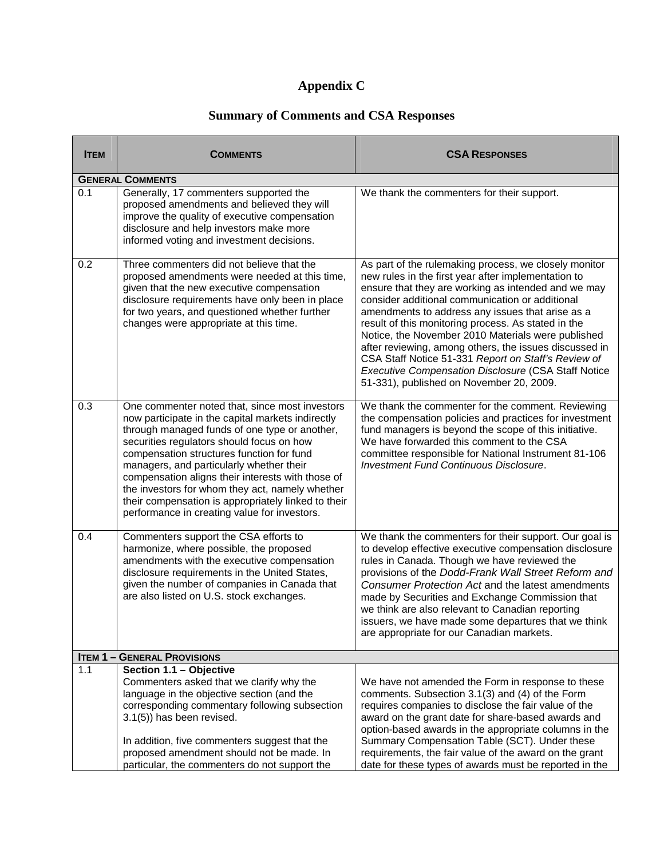## **Appendix C**

## **Summary of Comments and CSA Responses**

| <b>ITEM</b> | <b>COMMENTS</b>                                                                                                                                                                                                                                                                                                                                                                                                                                                                                           | <b>CSA RESPONSES</b>                                                                                                                                                                                                                                                                                                                                                                                                                                                                                                                                                                                               |
|-------------|-----------------------------------------------------------------------------------------------------------------------------------------------------------------------------------------------------------------------------------------------------------------------------------------------------------------------------------------------------------------------------------------------------------------------------------------------------------------------------------------------------------|--------------------------------------------------------------------------------------------------------------------------------------------------------------------------------------------------------------------------------------------------------------------------------------------------------------------------------------------------------------------------------------------------------------------------------------------------------------------------------------------------------------------------------------------------------------------------------------------------------------------|
|             | <b>GENERAL COMMENTS</b>                                                                                                                                                                                                                                                                                                                                                                                                                                                                                   |                                                                                                                                                                                                                                                                                                                                                                                                                                                                                                                                                                                                                    |
| 0.1         | Generally, 17 commenters supported the<br>proposed amendments and believed they will<br>improve the quality of executive compensation<br>disclosure and help investors make more<br>informed voting and investment decisions.                                                                                                                                                                                                                                                                             | We thank the commenters for their support.                                                                                                                                                                                                                                                                                                                                                                                                                                                                                                                                                                         |
| 0.2         | Three commenters did not believe that the<br>proposed amendments were needed at this time,<br>given that the new executive compensation<br>disclosure requirements have only been in place<br>for two years, and questioned whether further<br>changes were appropriate at this time.                                                                                                                                                                                                                     | As part of the rulemaking process, we closely monitor<br>new rules in the first year after implementation to<br>ensure that they are working as intended and we may<br>consider additional communication or additional<br>amendments to address any issues that arise as a<br>result of this monitoring process. As stated in the<br>Notice, the November 2010 Materials were published<br>after reviewing, among others, the issues discussed in<br>CSA Staff Notice 51-331 Report on Staff's Review of<br><b>Executive Compensation Disclosure (CSA Staff Notice</b><br>51-331), published on November 20, 2009. |
| 0.3         | One commenter noted that, since most investors<br>now participate in the capital markets indirectly<br>through managed funds of one type or another,<br>securities regulators should focus on how<br>compensation structures function for fund<br>managers, and particularly whether their<br>compensation aligns their interests with those of<br>the investors for whom they act, namely whether<br>their compensation is appropriately linked to their<br>performance in creating value for investors. | We thank the commenter for the comment. Reviewing<br>the compensation policies and practices for investment<br>fund managers is beyond the scope of this initiative.<br>We have forwarded this comment to the CSA<br>committee responsible for National Instrument 81-106<br><b>Investment Fund Continuous Disclosure.</b>                                                                                                                                                                                                                                                                                         |
| 0.4         | Commenters support the CSA efforts to<br>harmonize, where possible, the proposed<br>amendments with the executive compensation<br>disclosure requirements in the United States,<br>given the number of companies in Canada that<br>are also listed on U.S. stock exchanges.                                                                                                                                                                                                                               | We thank the commenters for their support. Our goal is<br>to develop effective executive compensation disclosure<br>rules in Canada. Though we have reviewed the<br>provisions of the Dodd-Frank Wall Street Reform and<br>Consumer Protection Act and the latest amendments<br>made by Securities and Exchange Commission that<br>we think are also relevant to Canadian reporting<br>issuers, we have made some departures that we think<br>are appropriate for our Canadian markets.                                                                                                                            |
|             | <b>ITEM 1 - GENERAL PROVISIONS</b>                                                                                                                                                                                                                                                                                                                                                                                                                                                                        |                                                                                                                                                                                                                                                                                                                                                                                                                                                                                                                                                                                                                    |
| 1.1         | Section 1.1 - Objective<br>Commenters asked that we clarify why the<br>language in the objective section (and the<br>corresponding commentary following subsection<br>$3.1(5)$ ) has been revised.<br>In addition, five commenters suggest that the<br>proposed amendment should not be made. In<br>particular, the commenters do not support the                                                                                                                                                         | We have not amended the Form in response to these<br>comments. Subsection 3.1(3) and (4) of the Form<br>requires companies to disclose the fair value of the<br>award on the grant date for share-based awards and<br>option-based awards in the appropriate columns in the<br>Summary Compensation Table (SCT). Under these<br>requirements, the fair value of the award on the grant<br>date for these types of awards must be reported in the                                                                                                                                                                   |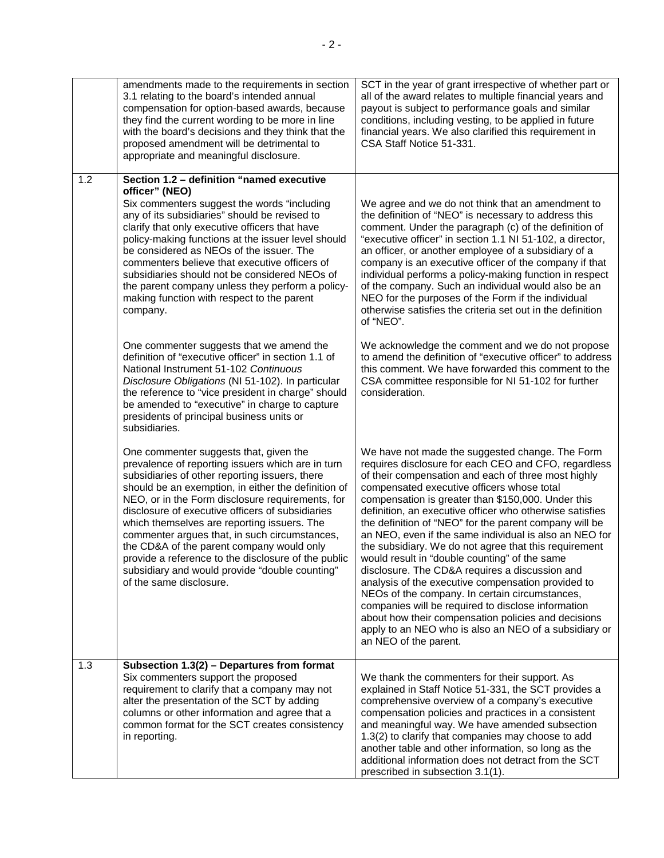|     | amendments made to the requirements in section<br>3.1 relating to the board's intended annual<br>compensation for option-based awards, because<br>they find the current wording to be more in line<br>with the board's decisions and they think that the<br>proposed amendment will be detrimental to<br>appropriate and meaningful disclosure.                                                                                                                                                                                                                                               | SCT in the year of grant irrespective of whether part or<br>all of the award relates to multiple financial years and<br>payout is subject to performance goals and similar<br>conditions, including vesting, to be applied in future<br>financial years. We also clarified this requirement in<br>CSA Staff Notice 51-331.                                                                                                                                                                                                                                                                                                                                                                                                                                                                                                                                                                                            |
|-----|-----------------------------------------------------------------------------------------------------------------------------------------------------------------------------------------------------------------------------------------------------------------------------------------------------------------------------------------------------------------------------------------------------------------------------------------------------------------------------------------------------------------------------------------------------------------------------------------------|-----------------------------------------------------------------------------------------------------------------------------------------------------------------------------------------------------------------------------------------------------------------------------------------------------------------------------------------------------------------------------------------------------------------------------------------------------------------------------------------------------------------------------------------------------------------------------------------------------------------------------------------------------------------------------------------------------------------------------------------------------------------------------------------------------------------------------------------------------------------------------------------------------------------------|
| 1.2 | Section 1.2 - definition "named executive<br>officer" (NEO)<br>Six commenters suggest the words "including<br>any of its subsidiaries" should be revised to<br>clarify that only executive officers that have<br>policy-making functions at the issuer level should<br>be considered as NEOs of the issuer. The<br>commenters believe that executive officers of<br>subsidiaries should not be considered NEOs of<br>the parent company unless they perform a policy-<br>making function with respect to the parent<br>company.                                                               | We agree and we do not think that an amendment to<br>the definition of "NEO" is necessary to address this<br>comment. Under the paragraph (c) of the definition of<br>"executive officer" in section 1.1 NI 51-102, a director,<br>an officer, or another employee of a subsidiary of a<br>company is an executive officer of the company if that<br>individual performs a policy-making function in respect<br>of the company. Such an individual would also be an<br>NEO for the purposes of the Form if the individual<br>otherwise satisfies the criteria set out in the definition<br>of "NEO".                                                                                                                                                                                                                                                                                                                  |
|     | One commenter suggests that we amend the<br>definition of "executive officer" in section 1.1 of<br>National Instrument 51-102 Continuous<br>Disclosure Obligations (NI 51-102). In particular<br>the reference to "vice president in charge" should<br>be amended to "executive" in charge to capture<br>presidents of principal business units or<br>subsidiaries.                                                                                                                                                                                                                           | We acknowledge the comment and we do not propose<br>to amend the definition of "executive officer" to address<br>this comment. We have forwarded this comment to the<br>CSA committee responsible for NI 51-102 for further<br>consideration.                                                                                                                                                                                                                                                                                                                                                                                                                                                                                                                                                                                                                                                                         |
|     | One commenter suggests that, given the<br>prevalence of reporting issuers which are in turn<br>subsidiaries of other reporting issuers, there<br>should be an exemption, in either the definition of<br>NEO, or in the Form disclosure requirements, for<br>disclosure of executive officers of subsidiaries<br>which themselves are reporting issuers. The<br>commenter argues that, in such circumstances,<br>the CD&A of the parent company would only<br>provide a reference to the disclosure of the public<br>subsidiary and would provide "double counting"<br>of the same disclosure. | We have not made the suggested change. The Form<br>requires disclosure for each CEO and CFO, regardless<br>of their compensation and each of three most highly<br>compensated executive officers whose total<br>compensation is greater than \$150,000. Under this<br>definition, an executive officer who otherwise satisfies<br>the definition of "NEO" for the parent company will be<br>an NEO, even if the same individual is also an NEO for<br>the subsidiary. We do not agree that this requirement<br>would result in "double counting" of the same<br>disclosure. The CD&A requires a discussion and<br>analysis of the executive compensation provided to<br>NEOs of the company. In certain circumstances,<br>companies will be required to disclose information<br>about how their compensation policies and decisions<br>apply to an NEO who is also an NEO of a subsidiary or<br>an NEO of the parent. |
| 1.3 | Subsection 1.3(2) - Departures from format<br>Six commenters support the proposed<br>requirement to clarify that a company may not<br>alter the presentation of the SCT by adding<br>columns or other information and agree that a<br>common format for the SCT creates consistency<br>in reporting.                                                                                                                                                                                                                                                                                          | We thank the commenters for their support. As<br>explained in Staff Notice 51-331, the SCT provides a<br>comprehensive overview of a company's executive<br>compensation policies and practices in a consistent<br>and meaningful way. We have amended subsection<br>1.3(2) to clarify that companies may choose to add<br>another table and other information, so long as the<br>additional information does not detract from the SCT<br>prescribed in subsection 3.1(1).                                                                                                                                                                                                                                                                                                                                                                                                                                            |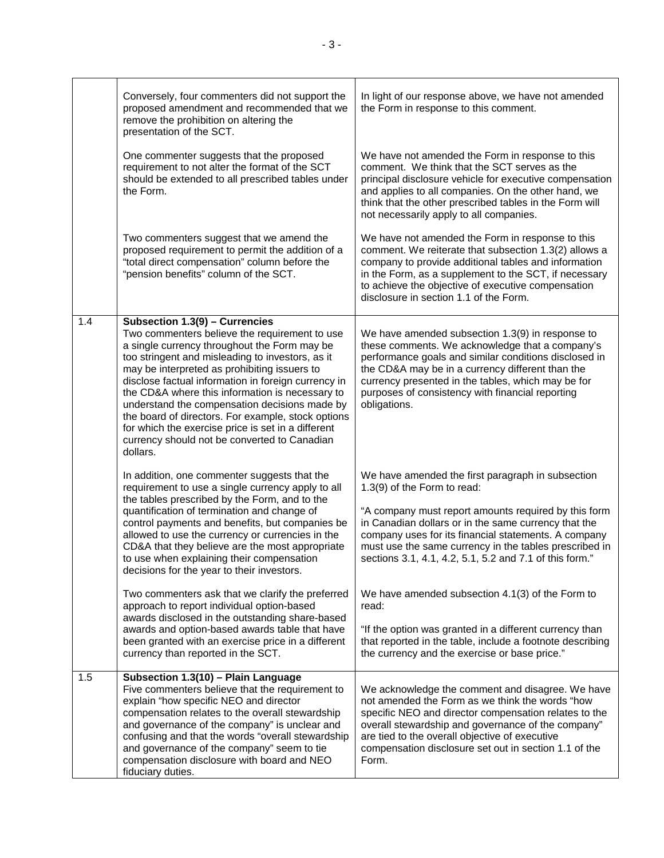|     | Conversely, four commenters did not support the<br>proposed amendment and recommended that we<br>remove the prohibition on altering the<br>presentation of the SCT.                                                                                                                                                                                                                                                                                                                                                                                                                                                                                                                                                                                       | In light of our response above, we have not amended<br>the Form in response to this comment.                                                                                                                                                                                                                                                                                                                                                                                                                                                                                                                        |
|-----|-----------------------------------------------------------------------------------------------------------------------------------------------------------------------------------------------------------------------------------------------------------------------------------------------------------------------------------------------------------------------------------------------------------------------------------------------------------------------------------------------------------------------------------------------------------------------------------------------------------------------------------------------------------------------------------------------------------------------------------------------------------|---------------------------------------------------------------------------------------------------------------------------------------------------------------------------------------------------------------------------------------------------------------------------------------------------------------------------------------------------------------------------------------------------------------------------------------------------------------------------------------------------------------------------------------------------------------------------------------------------------------------|
|     | One commenter suggests that the proposed<br>requirement to not alter the format of the SCT<br>should be extended to all prescribed tables under<br>the Form.                                                                                                                                                                                                                                                                                                                                                                                                                                                                                                                                                                                              | We have not amended the Form in response to this<br>comment. We think that the SCT serves as the<br>principal disclosure vehicle for executive compensation<br>and applies to all companies. On the other hand, we<br>think that the other prescribed tables in the Form will<br>not necessarily apply to all companies.                                                                                                                                                                                                                                                                                            |
|     | Two commenters suggest that we amend the<br>proposed requirement to permit the addition of a<br>"total direct compensation" column before the<br>"pension benefits" column of the SCT.                                                                                                                                                                                                                                                                                                                                                                                                                                                                                                                                                                    | We have not amended the Form in response to this<br>comment. We reiterate that subsection 1.3(2) allows a<br>company to provide additional tables and information<br>in the Form, as a supplement to the SCT, if necessary<br>to achieve the objective of executive compensation<br>disclosure in section 1.1 of the Form.                                                                                                                                                                                                                                                                                          |
| 1.4 | Subsection 1.3(9) - Currencies<br>Two commenters believe the requirement to use<br>a single currency throughout the Form may be<br>too stringent and misleading to investors, as it<br>may be interpreted as prohibiting issuers to<br>disclose factual information in foreign currency in<br>the CD&A where this information is necessary to<br>understand the compensation decisions made by<br>the board of directors. For example, stock options<br>for which the exercise price is set in a different<br>currency should not be converted to Canadian<br>dollars.                                                                                                                                                                                    | We have amended subsection 1.3(9) in response to<br>these comments. We acknowledge that a company's<br>performance goals and similar conditions disclosed in<br>the CD&A may be in a currency different than the<br>currency presented in the tables, which may be for<br>purposes of consistency with financial reporting<br>obligations.                                                                                                                                                                                                                                                                          |
|     | In addition, one commenter suggests that the<br>requirement to use a single currency apply to all<br>the tables prescribed by the Form, and to the<br>quantification of termination and change of<br>control payments and benefits, but companies be<br>allowed to use the currency or currencies in the<br>CD&A that they believe are the most appropriate<br>to use when explaining their compensation<br>decisions for the year to their investors.<br>Two commenters ask that we clarify the preferred<br>approach to report individual option-based<br>awards disclosed in the outstanding share-based<br>awards and option-based awards table that have<br>been granted with an exercise price in a different<br>currency than reported in the SCT. | We have amended the first paragraph in subsection<br>1.3(9) of the Form to read:<br>"A company must report amounts required by this form<br>in Canadian dollars or in the same currency that the<br>company uses for its financial statements. A company<br>must use the same currency in the tables prescribed in<br>sections 3.1, 4.1, 4.2, 5.1, 5.2 and 7.1 of this form."<br>We have amended subsection 4.1(3) of the Form to<br>read:<br>"If the option was granted in a different currency than<br>that reported in the table, include a footnote describing<br>the currency and the exercise or base price." |
| 1.5 | Subsection 1.3(10) - Plain Language<br>Five commenters believe that the requirement to<br>explain "how specific NEO and director<br>compensation relates to the overall stewardship<br>and governance of the company" is unclear and<br>confusing and that the words "overall stewardship<br>and governance of the company" seem to tie<br>compensation disclosure with board and NEO<br>fiduciary duties.                                                                                                                                                                                                                                                                                                                                                | We acknowledge the comment and disagree. We have<br>not amended the Form as we think the words "how<br>specific NEO and director compensation relates to the<br>overall stewardship and governance of the company"<br>are tied to the overall objective of executive<br>compensation disclosure set out in section 1.1 of the<br>Form.                                                                                                                                                                                                                                                                              |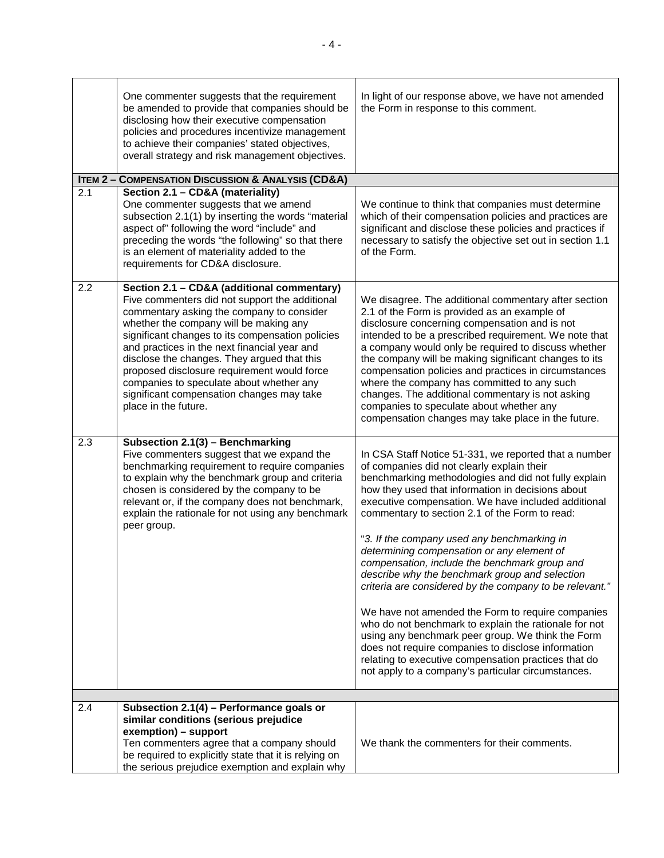|     | One commenter suggests that the requirement<br>be amended to provide that companies should be<br>disclosing how their executive compensation<br>policies and procedures incentivize management<br>to achieve their companies' stated objectives,<br>overall strategy and risk management objectives.                                                                                                                                                                                                   | In light of our response above, we have not amended<br>the Form in response to this comment.                                                                                                                                                                                                                                                                                                                                                                                                                                                                                                                                                                                                                                                                                                                                                                                                                                |
|-----|--------------------------------------------------------------------------------------------------------------------------------------------------------------------------------------------------------------------------------------------------------------------------------------------------------------------------------------------------------------------------------------------------------------------------------------------------------------------------------------------------------|-----------------------------------------------------------------------------------------------------------------------------------------------------------------------------------------------------------------------------------------------------------------------------------------------------------------------------------------------------------------------------------------------------------------------------------------------------------------------------------------------------------------------------------------------------------------------------------------------------------------------------------------------------------------------------------------------------------------------------------------------------------------------------------------------------------------------------------------------------------------------------------------------------------------------------|
|     | <b>ITEM 2 - COMPENSATION DISCUSSION &amp; ANALYSIS (CD&amp;A)</b>                                                                                                                                                                                                                                                                                                                                                                                                                                      |                                                                                                                                                                                                                                                                                                                                                                                                                                                                                                                                                                                                                                                                                                                                                                                                                                                                                                                             |
| 2.1 | Section 2.1 - CD&A (materiality)<br>One commenter suggests that we amend<br>subsection 2.1(1) by inserting the words "material<br>aspect of" following the word "include" and<br>preceding the words "the following" so that there<br>is an element of materiality added to the<br>requirements for CD&A disclosure.                                                                                                                                                                                   | We continue to think that companies must determine<br>which of their compensation policies and practices are<br>significant and disclose these policies and practices if<br>necessary to satisfy the objective set out in section 1.1<br>of the Form.                                                                                                                                                                                                                                                                                                                                                                                                                                                                                                                                                                                                                                                                       |
| 2.2 | Section 2.1 - CD&A (additional commentary)<br>Five commenters did not support the additional<br>commentary asking the company to consider<br>whether the company will be making any<br>significant changes to its compensation policies<br>and practices in the next financial year and<br>disclose the changes. They argued that this<br>proposed disclosure requirement would force<br>companies to speculate about whether any<br>significant compensation changes may take<br>place in the future. | We disagree. The additional commentary after section<br>2.1 of the Form is provided as an example of<br>disclosure concerning compensation and is not<br>intended to be a prescribed requirement. We note that<br>a company would only be required to discuss whether<br>the company will be making significant changes to its<br>compensation policies and practices in circumstances<br>where the company has committed to any such<br>changes. The additional commentary is not asking<br>companies to speculate about whether any<br>compensation changes may take place in the future.                                                                                                                                                                                                                                                                                                                                 |
| 2.3 | Subsection 2.1(3) - Benchmarking<br>Five commenters suggest that we expand the<br>benchmarking requirement to require companies<br>to explain why the benchmark group and criteria<br>chosen is considered by the company to be<br>relevant or, if the company does not benchmark,<br>explain the rationale for not using any benchmark<br>peer group.                                                                                                                                                 | In CSA Staff Notice 51-331, we reported that a number<br>of companies did not clearly explain their<br>benchmarking methodologies and did not fully explain<br>how they used that information in decisions about<br>executive compensation. We have included additional<br>commentary to section 2.1 of the Form to read:<br>"3. If the company used any benchmarking in<br>determining compensation or any element of<br>compensation, include the benchmark group and<br>describe why the benchmark group and selection<br>criteria are considered by the company to be relevant."<br>We have not amended the Form to require companies<br>who do not benchmark to explain the rationale for not<br>using any benchmark peer group. We think the Form<br>does not require companies to disclose information<br>relating to executive compensation practices that do<br>not apply to a company's particular circumstances. |
|     |                                                                                                                                                                                                                                                                                                                                                                                                                                                                                                        |                                                                                                                                                                                                                                                                                                                                                                                                                                                                                                                                                                                                                                                                                                                                                                                                                                                                                                                             |
| 2.4 | Subsection 2.1(4) - Performance goals or<br>similar conditions (serious prejudice<br>exemption) - support<br>Ten commenters agree that a company should<br>be required to explicitly state that it is relying on<br>the serious prejudice exemption and explain why                                                                                                                                                                                                                                    | We thank the commenters for their comments.                                                                                                                                                                                                                                                                                                                                                                                                                                                                                                                                                                                                                                                                                                                                                                                                                                                                                 |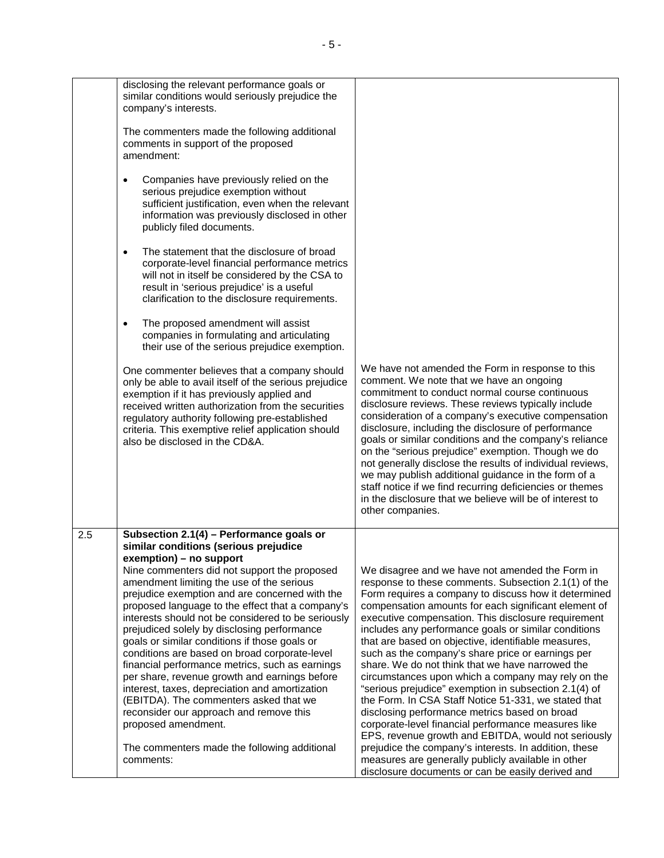|     | disclosing the relevant performance goals or<br>similar conditions would seriously prejudice the<br>company's interests.                                                                                                                                                                                                                                                                                                                                                                                                                                                                                                                                                                                                                                                                                                                 |                                                                                                                                                                                                                                                                                                                                                                                                                                                                                                                                                                                                                                                                                                                                                                                                                                                                                                       |
|-----|------------------------------------------------------------------------------------------------------------------------------------------------------------------------------------------------------------------------------------------------------------------------------------------------------------------------------------------------------------------------------------------------------------------------------------------------------------------------------------------------------------------------------------------------------------------------------------------------------------------------------------------------------------------------------------------------------------------------------------------------------------------------------------------------------------------------------------------|-------------------------------------------------------------------------------------------------------------------------------------------------------------------------------------------------------------------------------------------------------------------------------------------------------------------------------------------------------------------------------------------------------------------------------------------------------------------------------------------------------------------------------------------------------------------------------------------------------------------------------------------------------------------------------------------------------------------------------------------------------------------------------------------------------------------------------------------------------------------------------------------------------|
|     | The commenters made the following additional<br>comments in support of the proposed<br>amendment:                                                                                                                                                                                                                                                                                                                                                                                                                                                                                                                                                                                                                                                                                                                                        |                                                                                                                                                                                                                                                                                                                                                                                                                                                                                                                                                                                                                                                                                                                                                                                                                                                                                                       |
|     | Companies have previously relied on the<br>$\bullet$<br>serious prejudice exemption without<br>sufficient justification, even when the relevant<br>information was previously disclosed in other<br>publicly filed documents.                                                                                                                                                                                                                                                                                                                                                                                                                                                                                                                                                                                                            |                                                                                                                                                                                                                                                                                                                                                                                                                                                                                                                                                                                                                                                                                                                                                                                                                                                                                                       |
|     | The statement that the disclosure of broad<br>$\bullet$<br>corporate-level financial performance metrics<br>will not in itself be considered by the CSA to<br>result in 'serious prejudice' is a useful<br>clarification to the disclosure requirements.                                                                                                                                                                                                                                                                                                                                                                                                                                                                                                                                                                                 |                                                                                                                                                                                                                                                                                                                                                                                                                                                                                                                                                                                                                                                                                                                                                                                                                                                                                                       |
|     | The proposed amendment will assist<br>$\bullet$<br>companies in formulating and articulating<br>their use of the serious prejudice exemption.                                                                                                                                                                                                                                                                                                                                                                                                                                                                                                                                                                                                                                                                                            |                                                                                                                                                                                                                                                                                                                                                                                                                                                                                                                                                                                                                                                                                                                                                                                                                                                                                                       |
|     | One commenter believes that a company should<br>only be able to avail itself of the serious prejudice<br>exemption if it has previously applied and<br>received written authorization from the securities<br>regulatory authority following pre-established<br>criteria. This exemptive relief application should<br>also be disclosed in the CD&A.                                                                                                                                                                                                                                                                                                                                                                                                                                                                                      | We have not amended the Form in response to this<br>comment. We note that we have an ongoing<br>commitment to conduct normal course continuous<br>disclosure reviews. These reviews typically include<br>consideration of a company's executive compensation<br>disclosure, including the disclosure of performance<br>goals or similar conditions and the company's reliance<br>on the "serious prejudice" exemption. Though we do<br>not generally disclose the results of individual reviews,<br>we may publish additional guidance in the form of a<br>staff notice if we find recurring deficiencies or themes<br>in the disclosure that we believe will be of interest to<br>other companies.                                                                                                                                                                                                   |
| 2.5 | Subsection 2.1(4) - Performance goals or<br>similar conditions (serious prejudice<br>exemption) - no support<br>Nine commenters did not support the proposed<br>amendment limiting the use of the serious<br>prejudice exemption and are concerned with the<br>proposed language to the effect that a company's<br>interests should not be considered to be seriously<br>prejudiced solely by disclosing performance<br>goals or similar conditions if those goals or<br>conditions are based on broad corporate-level<br>financial performance metrics, such as earnings<br>per share, revenue growth and earnings before<br>interest, taxes, depreciation and amortization<br>(EBITDA). The commenters asked that we<br>reconsider our approach and remove this<br>proposed amendment.<br>The commenters made the following additional | We disagree and we have not amended the Form in<br>response to these comments. Subsection 2.1(1) of the<br>Form requires a company to discuss how it determined<br>compensation amounts for each significant element of<br>executive compensation. This disclosure requirement<br>includes any performance goals or similar conditions<br>that are based on objective, identifiable measures,<br>such as the company's share price or earnings per<br>share. We do not think that we have narrowed the<br>circumstances upon which a company may rely on the<br>"serious prejudice" exemption in subsection 2.1(4) of<br>the Form. In CSA Staff Notice 51-331, we stated that<br>disclosing performance metrics based on broad<br>corporate-level financial performance measures like<br>EPS, revenue growth and EBITDA, would not seriously<br>prejudice the company's interests. In addition, these |
|     | comments:                                                                                                                                                                                                                                                                                                                                                                                                                                                                                                                                                                                                                                                                                                                                                                                                                                | measures are generally publicly available in other<br>disclosure documents or can be easily derived and                                                                                                                                                                                                                                                                                                                                                                                                                                                                                                                                                                                                                                                                                                                                                                                               |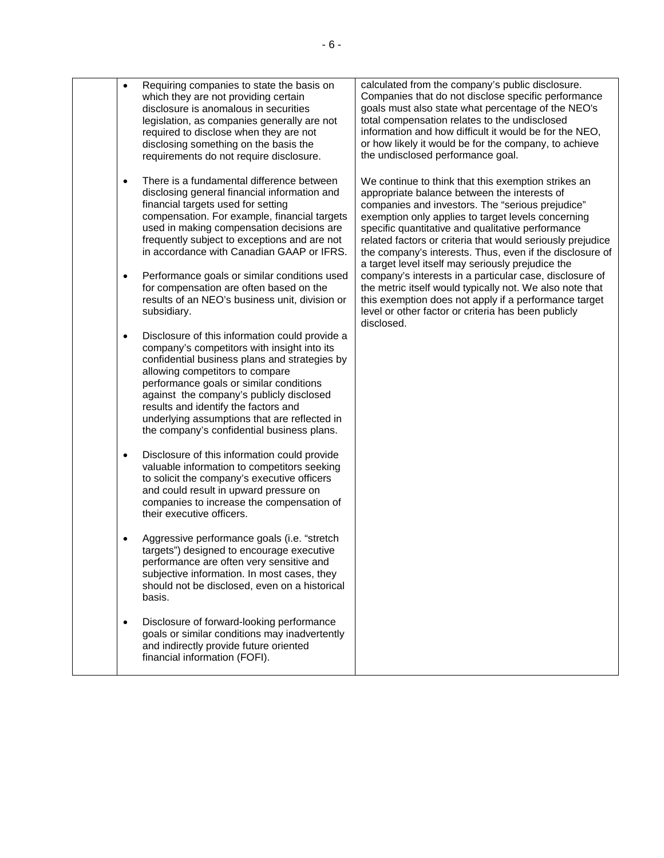| Requiring companies to state the basis on<br>$\bullet$<br>which they are not providing certain<br>disclosure is anomalous in securities<br>legislation, as companies generally are not<br>required to disclose when they are not<br>disclosing something on the basis the<br>requirements do not require disclosure.                                                                                                        | calculated from the company's public disclosure.<br>Companies that do not disclose specific performance<br>goals must also state what percentage of the NEO's<br>total compensation relates to the undisclosed<br>information and how difficult it would be for the NEO,<br>or how likely it would be for the company, to achieve<br>the undisclosed performance goal.                                                                            |
|-----------------------------------------------------------------------------------------------------------------------------------------------------------------------------------------------------------------------------------------------------------------------------------------------------------------------------------------------------------------------------------------------------------------------------|---------------------------------------------------------------------------------------------------------------------------------------------------------------------------------------------------------------------------------------------------------------------------------------------------------------------------------------------------------------------------------------------------------------------------------------------------|
| There is a fundamental difference between<br>$\bullet$<br>disclosing general financial information and<br>financial targets used for setting<br>compensation. For example, financial targets<br>used in making compensation decisions are<br>frequently subject to exceptions and are not<br>in accordance with Canadian GAAP or IFRS.                                                                                      | We continue to think that this exemption strikes an<br>appropriate balance between the interests of<br>companies and investors. The "serious prejudice"<br>exemption only applies to target levels concerning<br>specific quantitative and qualitative performance<br>related factors or criteria that would seriously prejudice<br>the company's interests. Thus, even if the disclosure of<br>a target level itself may seriously prejudice the |
| Performance goals or similar conditions used<br>$\bullet$<br>for compensation are often based on the<br>results of an NEO's business unit, division or<br>subsidiary.                                                                                                                                                                                                                                                       | company's interests in a particular case, disclosure of<br>the metric itself would typically not. We also note that<br>this exemption does not apply if a performance target<br>level or other factor or criteria has been publicly<br>disclosed.                                                                                                                                                                                                 |
| Disclosure of this information could provide a<br>$\bullet$<br>company's competitors with insight into its<br>confidential business plans and strategies by<br>allowing competitors to compare<br>performance goals or similar conditions<br>against the company's publicly disclosed<br>results and identify the factors and<br>underlying assumptions that are reflected in<br>the company's confidential business plans. |                                                                                                                                                                                                                                                                                                                                                                                                                                                   |
| Disclosure of this information could provide<br>$\bullet$<br>valuable information to competitors seeking<br>to solicit the company's executive officers<br>and could result in upward pressure on<br>companies to increase the compensation of<br>their executive officers.                                                                                                                                                 |                                                                                                                                                                                                                                                                                                                                                                                                                                                   |
| Aggressive performance goals (i.e. "stretch<br>targets") designed to encourage executive<br>performance are often very sensitive and<br>subjective information. In most cases, they<br>should not be disclosed, even on a historical<br>basis.                                                                                                                                                                              |                                                                                                                                                                                                                                                                                                                                                                                                                                                   |
| Disclosure of forward-looking performance<br>$\bullet$<br>goals or similar conditions may inadvertently<br>and indirectly provide future oriented<br>financial information (FOFI).                                                                                                                                                                                                                                          |                                                                                                                                                                                                                                                                                                                                                                                                                                                   |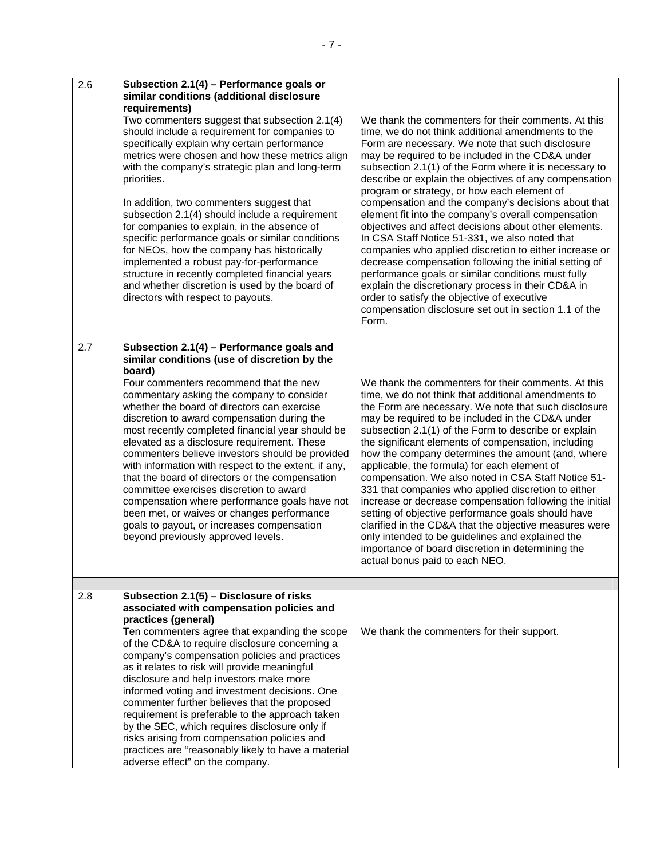| 2.6 | Subsection 2.1(4) - Performance goals or<br>similar conditions (additional disclosure<br>requirements)<br>Two commenters suggest that subsection 2.1(4)<br>should include a requirement for companies to<br>specifically explain why certain performance<br>metrics were chosen and how these metrics align<br>with the company's strategic plan and long-term<br>priorities.<br>In addition, two commenters suggest that<br>subsection 2.1(4) should include a requirement<br>for companies to explain, in the absence of<br>specific performance goals or similar conditions<br>for NEOs, how the company has historically<br>implemented a robust pay-for-performance<br>structure in recently completed financial years<br>and whether discretion is used by the board of<br>directors with respect to payouts. | We thank the commenters for their comments. At this<br>time, we do not think additional amendments to the<br>Form are necessary. We note that such disclosure<br>may be required to be included in the CD&A under<br>subsection 2.1(1) of the Form where it is necessary to<br>describe or explain the objectives of any compensation<br>program or strategy, or how each element of<br>compensation and the company's decisions about that<br>element fit into the company's overall compensation<br>objectives and affect decisions about other elements.<br>In CSA Staff Notice 51-331, we also noted that<br>companies who applied discretion to either increase or<br>decrease compensation following the initial setting of<br>performance goals or similar conditions must fully<br>explain the discretionary process in their CD&A in<br>order to satisfy the objective of executive<br>compensation disclosure set out in section 1.1 of the<br>Form. |
|-----|---------------------------------------------------------------------------------------------------------------------------------------------------------------------------------------------------------------------------------------------------------------------------------------------------------------------------------------------------------------------------------------------------------------------------------------------------------------------------------------------------------------------------------------------------------------------------------------------------------------------------------------------------------------------------------------------------------------------------------------------------------------------------------------------------------------------|----------------------------------------------------------------------------------------------------------------------------------------------------------------------------------------------------------------------------------------------------------------------------------------------------------------------------------------------------------------------------------------------------------------------------------------------------------------------------------------------------------------------------------------------------------------------------------------------------------------------------------------------------------------------------------------------------------------------------------------------------------------------------------------------------------------------------------------------------------------------------------------------------------------------------------------------------------------|
| 2.7 | Subsection 2.1(4) - Performance goals and<br>similar conditions (use of discretion by the<br>board)<br>Four commenters recommend that the new<br>commentary asking the company to consider<br>whether the board of directors can exercise<br>discretion to award compensation during the<br>most recently completed financial year should be<br>elevated as a disclosure requirement. These<br>commenters believe investors should be provided<br>with information with respect to the extent, if any,<br>that the board of directors or the compensation<br>committee exercises discretion to award<br>compensation where performance goals have not<br>been met, or waives or changes performance<br>goals to payout, or increases compensation<br>beyond previously approved levels.                             | We thank the commenters for their comments. At this<br>time, we do not think that additional amendments to<br>the Form are necessary. We note that such disclosure<br>may be required to be included in the CD&A under<br>subsection 2.1(1) of the Form to describe or explain<br>the significant elements of compensation, including<br>how the company determines the amount (and, where<br>applicable, the formula) for each element of<br>compensation. We also noted in CSA Staff Notice 51-<br>331 that companies who applied discretion to either<br>increase or decrease compensation following the initial<br>setting of objective performance goals should have<br>clarified in the CD&A that the objective measures were<br>only intended to be guidelines and explained the<br>importance of board discretion in determining the<br>actual bonus paid to each NEO.                                                                                 |
| 2.8 | Subsection 2.1(5) - Disclosure of risks<br>associated with compensation policies and<br>practices (general)<br>Ten commenters agree that expanding the scope<br>of the CD&A to require disclosure concerning a<br>company's compensation policies and practices<br>as it relates to risk will provide meaningful<br>disclosure and help investors make more<br>informed voting and investment decisions. One<br>commenter further believes that the proposed<br>requirement is preferable to the approach taken<br>by the SEC, which requires disclosure only if<br>risks arising from compensation policies and<br>practices are "reasonably likely to have a material<br>adverse effect" on the company.                                                                                                          | We thank the commenters for their support.                                                                                                                                                                                                                                                                                                                                                                                                                                                                                                                                                                                                                                                                                                                                                                                                                                                                                                                     |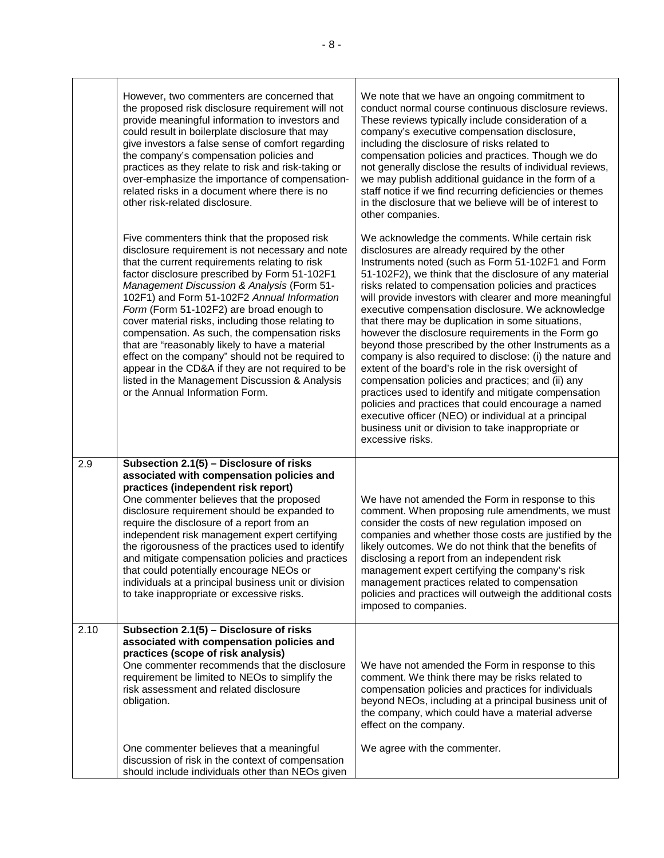|      | However, two commenters are concerned that<br>the proposed risk disclosure requirement will not<br>provide meaningful information to investors and<br>could result in boilerplate disclosure that may<br>give investors a false sense of comfort regarding<br>the company's compensation policies and<br>practices as they relate to risk and risk-taking or<br>over-emphasize the importance of compensation-<br>related risks in a document where there is no<br>other risk-related disclosure.                                                                                                                                                                                                             | We note that we have an ongoing commitment to<br>conduct normal course continuous disclosure reviews.<br>These reviews typically include consideration of a<br>company's executive compensation disclosure,<br>including the disclosure of risks related to<br>compensation policies and practices. Though we do<br>not generally disclose the results of individual reviews,<br>we may publish additional guidance in the form of a<br>staff notice if we find recurring deficiencies or themes<br>in the disclosure that we believe will be of interest to<br>other companies.                                                                                                                                                                                                                                                                                                                                                                                                      |
|------|---------------------------------------------------------------------------------------------------------------------------------------------------------------------------------------------------------------------------------------------------------------------------------------------------------------------------------------------------------------------------------------------------------------------------------------------------------------------------------------------------------------------------------------------------------------------------------------------------------------------------------------------------------------------------------------------------------------|---------------------------------------------------------------------------------------------------------------------------------------------------------------------------------------------------------------------------------------------------------------------------------------------------------------------------------------------------------------------------------------------------------------------------------------------------------------------------------------------------------------------------------------------------------------------------------------------------------------------------------------------------------------------------------------------------------------------------------------------------------------------------------------------------------------------------------------------------------------------------------------------------------------------------------------------------------------------------------------|
|      | Five commenters think that the proposed risk<br>disclosure requirement is not necessary and note<br>that the current requirements relating to risk<br>factor disclosure prescribed by Form 51-102F1<br><b>Management Discussion &amp; Analysis (Form 51-</b><br>102F1) and Form 51-102F2 Annual Information<br>Form (Form 51-102F2) are broad enough to<br>cover material risks, including those relating to<br>compensation. As such, the compensation risks<br>that are "reasonably likely to have a material<br>effect on the company" should not be required to<br>appear in the CD&A if they are not required to be<br>listed in the Management Discussion & Analysis<br>or the Annual Information Form. | We acknowledge the comments. While certain risk<br>disclosures are already required by the other<br>Instruments noted (such as Form 51-102F1 and Form<br>51-102F2), we think that the disclosure of any material<br>risks related to compensation policies and practices<br>will provide investors with clearer and more meaningful<br>executive compensation disclosure. We acknowledge<br>that there may be duplication in some situations,<br>however the disclosure requirements in the Form go<br>beyond those prescribed by the other Instruments as a<br>company is also required to disclose: (i) the nature and<br>extent of the board's role in the risk oversight of<br>compensation policies and practices; and (ii) any<br>practices used to identify and mitigate compensation<br>policies and practices that could encourage a named<br>executive officer (NEO) or individual at a principal<br>business unit or division to take inappropriate or<br>excessive risks. |
| 2.9  | Subsection 2.1(5) - Disclosure of risks<br>associated with compensation policies and<br>practices (independent risk report)<br>One commenter believes that the proposed<br>disclosure requirement should be expanded to<br>require the disclosure of a report from an<br>independent risk management expert certifying<br>the rigorousness of the practices used to identify<br>and mitigate compensation policies and practices<br>that could potentially encourage NEOs or<br>individuals at a principal business unit or division<br>to take inappropriate or excessive risks.                                                                                                                             | We have not amended the Form in response to this<br>comment. When proposing rule amendments, we must<br>consider the costs of new regulation imposed on<br>companies and whether those costs are justified by the<br>likely outcomes. We do not think that the benefits of<br>disclosing a report from an independent risk<br>management expert certifying the company's risk<br>management practices related to compensation<br>policies and practices will outweigh the additional costs<br>imposed to companies.                                                                                                                                                                                                                                                                                                                                                                                                                                                                   |
| 2.10 | Subsection 2.1(5) - Disclosure of risks<br>associated with compensation policies and<br>practices (scope of risk analysis)<br>One commenter recommends that the disclosure<br>requirement be limited to NEOs to simplify the<br>risk assessment and related disclosure<br>obligation.                                                                                                                                                                                                                                                                                                                                                                                                                         | We have not amended the Form in response to this<br>comment. We think there may be risks related to<br>compensation policies and practices for individuals<br>beyond NEOs, including at a principal business unit of<br>the company, which could have a material adverse<br>effect on the company.                                                                                                                                                                                                                                                                                                                                                                                                                                                                                                                                                                                                                                                                                    |
|      | One commenter believes that a meaningful<br>discussion of risk in the context of compensation<br>should include individuals other than NEOs given                                                                                                                                                                                                                                                                                                                                                                                                                                                                                                                                                             | We agree with the commenter.                                                                                                                                                                                                                                                                                                                                                                                                                                                                                                                                                                                                                                                                                                                                                                                                                                                                                                                                                          |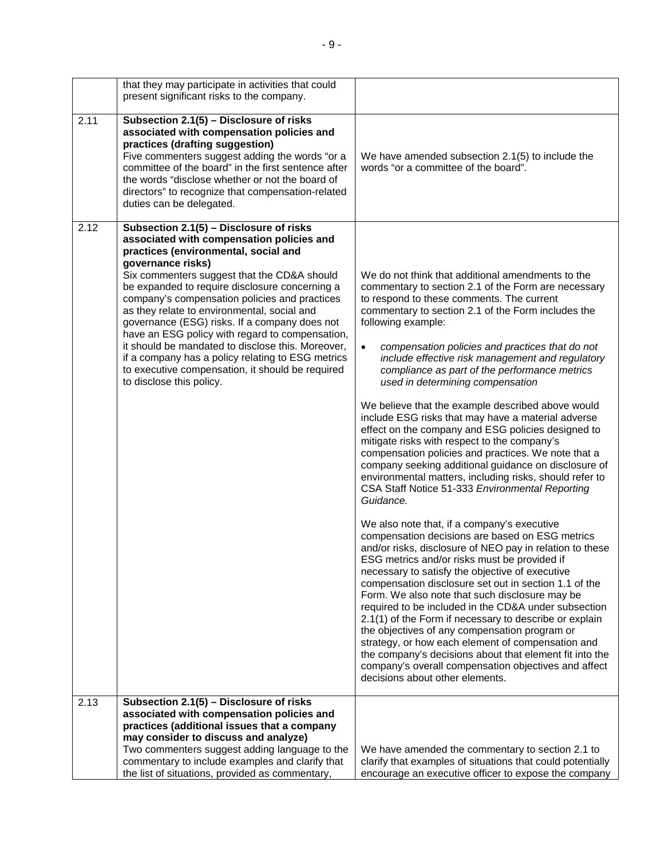|      | that they may participate in activities that could<br>present significant risks to the company.                                                                                                                                                                                                                                                                                                                                                                                                                                                                                                                                                  |                                                                                                                                                                                                                                                                                                                                                                                                                                                                                                                                                                                                                                                                                                                                                                                                                                                                                                                                                                                                                                                                                                                                                                                                                                                                                                                                                                                                                                                                                                                                                                                                                                                                 |
|------|--------------------------------------------------------------------------------------------------------------------------------------------------------------------------------------------------------------------------------------------------------------------------------------------------------------------------------------------------------------------------------------------------------------------------------------------------------------------------------------------------------------------------------------------------------------------------------------------------------------------------------------------------|-----------------------------------------------------------------------------------------------------------------------------------------------------------------------------------------------------------------------------------------------------------------------------------------------------------------------------------------------------------------------------------------------------------------------------------------------------------------------------------------------------------------------------------------------------------------------------------------------------------------------------------------------------------------------------------------------------------------------------------------------------------------------------------------------------------------------------------------------------------------------------------------------------------------------------------------------------------------------------------------------------------------------------------------------------------------------------------------------------------------------------------------------------------------------------------------------------------------------------------------------------------------------------------------------------------------------------------------------------------------------------------------------------------------------------------------------------------------------------------------------------------------------------------------------------------------------------------------------------------------------------------------------------------------|
| 2.11 | Subsection 2.1(5) - Disclosure of risks<br>associated with compensation policies and<br>practices (drafting suggestion)<br>Five commenters suggest adding the words "or a<br>committee of the board" in the first sentence after<br>the words "disclose whether or not the board of<br>directors" to recognize that compensation-related<br>duties can be delegated.                                                                                                                                                                                                                                                                             | We have amended subsection 2.1(5) to include the<br>words "or a committee of the board".                                                                                                                                                                                                                                                                                                                                                                                                                                                                                                                                                                                                                                                                                                                                                                                                                                                                                                                                                                                                                                                                                                                                                                                                                                                                                                                                                                                                                                                                                                                                                                        |
| 2.12 | Subsection 2.1(5) - Disclosure of risks<br>associated with compensation policies and<br>practices (environmental, social and<br>governance risks)<br>Six commenters suggest that the CD&A should<br>be expanded to require disclosure concerning a<br>company's compensation policies and practices<br>as they relate to environmental, social and<br>governance (ESG) risks. If a company does not<br>have an ESG policy with regard to compensation,<br>it should be mandated to disclose this. Moreover,<br>if a company has a policy relating to ESG metrics<br>to executive compensation, it should be required<br>to disclose this policy. | We do not think that additional amendments to the<br>commentary to section 2.1 of the Form are necessary<br>to respond to these comments. The current<br>commentary to section 2.1 of the Form includes the<br>following example:<br>$\bullet$<br>compensation policies and practices that do not<br>include effective risk management and regulatory<br>compliance as part of the performance metrics<br>used in determining compensation<br>We believe that the example described above would<br>include ESG risks that may have a material adverse<br>effect on the company and ESG policies designed to<br>mitigate risks with respect to the company's<br>compensation policies and practices. We note that a<br>company seeking additional guidance on disclosure of<br>environmental matters, including risks, should refer to<br>CSA Staff Notice 51-333 Environmental Reporting<br>Guidance.<br>We also note that, if a company's executive<br>compensation decisions are based on ESG metrics<br>and/or risks, disclosure of NEO pay in relation to these<br>ESG metrics and/or risks must be provided if<br>necessary to satisfy the objective of executive<br>compensation disclosure set out in section 1.1 of the<br>Form. We also note that such disclosure may be<br>required to be included in the CD&A under subsection<br>2.1(1) of the Form if necessary to describe or explain<br>the objectives of any compensation program or<br>strategy, or how each element of compensation and<br>the company's decisions about that element fit into the<br>company's overall compensation objectives and affect<br>decisions about other elements. |
| 2.13 | Subsection 2.1(5) - Disclosure of risks<br>associated with compensation policies and<br>practices (additional issues that a company<br>may consider to discuss and analyze)<br>Two commenters suggest adding language to the                                                                                                                                                                                                                                                                                                                                                                                                                     | We have amended the commentary to section 2.1 to                                                                                                                                                                                                                                                                                                                                                                                                                                                                                                                                                                                                                                                                                                                                                                                                                                                                                                                                                                                                                                                                                                                                                                                                                                                                                                                                                                                                                                                                                                                                                                                                                |
|      | commentary to include examples and clarify that<br>the list of situations, provided as commentary,                                                                                                                                                                                                                                                                                                                                                                                                                                                                                                                                               | clarify that examples of situations that could potentially<br>encourage an executive officer to expose the company                                                                                                                                                                                                                                                                                                                                                                                                                                                                                                                                                                                                                                                                                                                                                                                                                                                                                                                                                                                                                                                                                                                                                                                                                                                                                                                                                                                                                                                                                                                                              |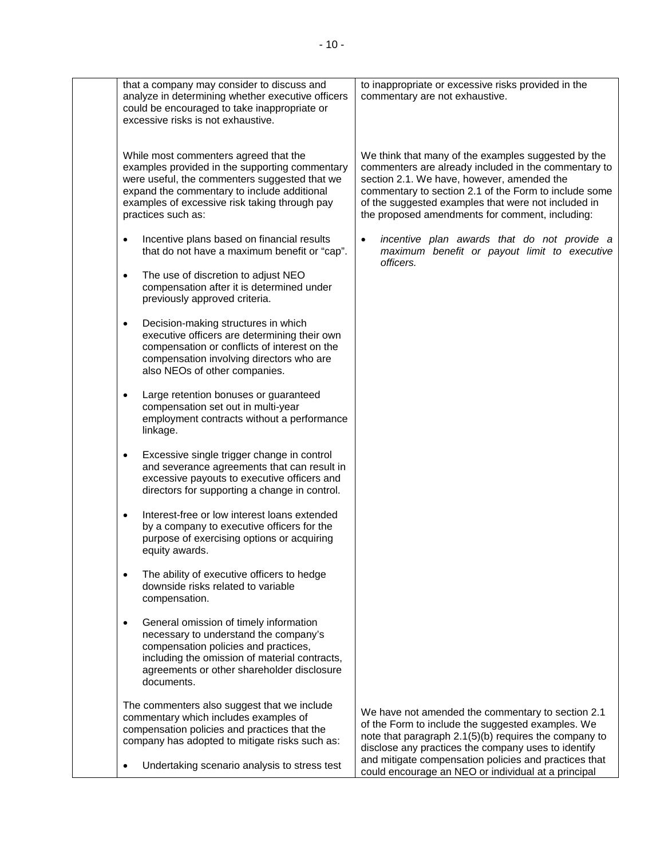┑

|           | that a company may consider to discuss and<br>analyze in determining whether executive officers<br>could be encouraged to take inappropriate or<br>excessive risks is not exhaustive.                                                                          | to inappropriate or excessive risks provided in the<br>commentary are not exhaustive.                                                                                                                                                                                                                                        |
|-----------|----------------------------------------------------------------------------------------------------------------------------------------------------------------------------------------------------------------------------------------------------------------|------------------------------------------------------------------------------------------------------------------------------------------------------------------------------------------------------------------------------------------------------------------------------------------------------------------------------|
|           | While most commenters agreed that the<br>examples provided in the supporting commentary<br>were useful, the commenters suggested that we<br>expand the commentary to include additional<br>examples of excessive risk taking through pay<br>practices such as: | We think that many of the examples suggested by the<br>commenters are already included in the commentary to<br>section 2.1. We have, however, amended the<br>commentary to section 2.1 of the Form to include some<br>of the suggested examples that were not included in<br>the proposed amendments for comment, including: |
| $\bullet$ | Incentive plans based on financial results<br>that do not have a maximum benefit or "cap".                                                                                                                                                                     | incentive plan awards that do not provide a<br>$\bullet$<br>maximum benefit or payout limit to executive<br>officers.                                                                                                                                                                                                        |
| $\bullet$ | The use of discretion to adjust NEO<br>compensation after it is determined under<br>previously approved criteria.                                                                                                                                              |                                                                                                                                                                                                                                                                                                                              |
| $\bullet$ | Decision-making structures in which<br>executive officers are determining their own<br>compensation or conflicts of interest on the<br>compensation involving directors who are<br>also NEOs of other companies.                                               |                                                                                                                                                                                                                                                                                                                              |
| $\bullet$ | Large retention bonuses or guaranteed<br>compensation set out in multi-year<br>employment contracts without a performance<br>linkage.                                                                                                                          |                                                                                                                                                                                                                                                                                                                              |
| $\bullet$ | Excessive single trigger change in control<br>and severance agreements that can result in<br>excessive payouts to executive officers and<br>directors for supporting a change in control.                                                                      |                                                                                                                                                                                                                                                                                                                              |
| $\bullet$ | Interest-free or low interest loans extended<br>by a company to executive officers for the<br>purpose of exercising options or acquiring<br>equity awards.                                                                                                     |                                                                                                                                                                                                                                                                                                                              |
|           | The ability of executive officers to hedge<br>downside risks related to variable<br>compensation.                                                                                                                                                              |                                                                                                                                                                                                                                                                                                                              |
| $\bullet$ | General omission of timely information<br>necessary to understand the company's<br>compensation policies and practices,<br>including the omission of material contracts,<br>agreements or other shareholder disclosure<br>documents.                           |                                                                                                                                                                                                                                                                                                                              |
|           | The commenters also suggest that we include<br>commentary which includes examples of<br>compensation policies and practices that the<br>company has adopted to mitigate risks such as:                                                                         | We have not amended the commentary to section 2.1<br>of the Form to include the suggested examples. We<br>note that paragraph 2.1(5)(b) requires the company to<br>disclose any practices the company uses to identify                                                                                                       |
|           | Undertaking scenario analysis to stress test                                                                                                                                                                                                                   | and mitigate compensation policies and practices that<br>could encourage an NEO or individual at a principal                                                                                                                                                                                                                 |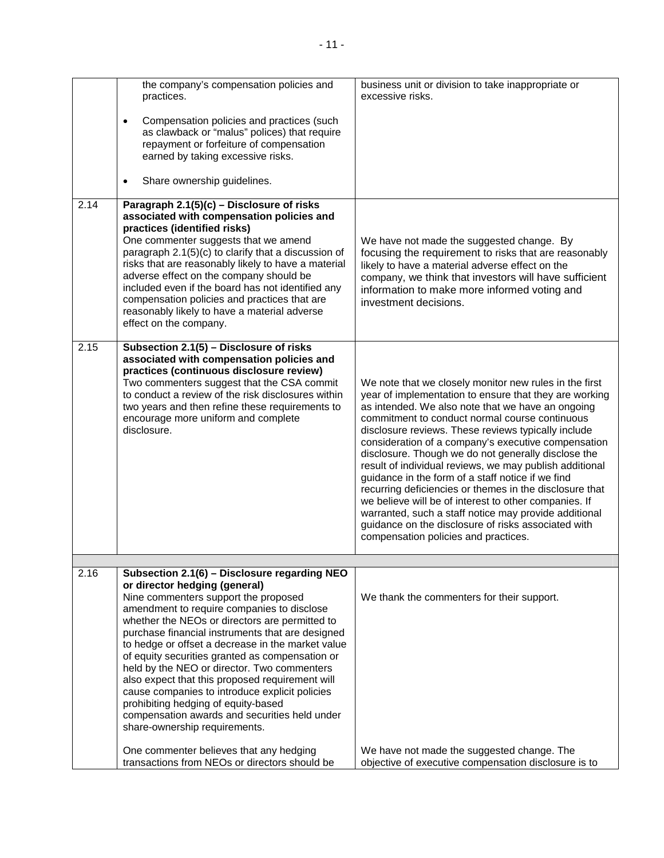|      | the company's compensation policies and<br>practices.<br>Compensation policies and practices (such<br>$\bullet$                                                                                                                                                                                                                                                                                                                                                                                                                                                                  | business unit or division to take inappropriate or<br>excessive risks.                                                                                                                                                                                                                                                                                                                                                                                                                                                                                                                                                                                                                                                                           |
|------|----------------------------------------------------------------------------------------------------------------------------------------------------------------------------------------------------------------------------------------------------------------------------------------------------------------------------------------------------------------------------------------------------------------------------------------------------------------------------------------------------------------------------------------------------------------------------------|--------------------------------------------------------------------------------------------------------------------------------------------------------------------------------------------------------------------------------------------------------------------------------------------------------------------------------------------------------------------------------------------------------------------------------------------------------------------------------------------------------------------------------------------------------------------------------------------------------------------------------------------------------------------------------------------------------------------------------------------------|
|      | as clawback or "malus" polices) that require<br>repayment or forfeiture of compensation<br>earned by taking excessive risks.                                                                                                                                                                                                                                                                                                                                                                                                                                                     |                                                                                                                                                                                                                                                                                                                                                                                                                                                                                                                                                                                                                                                                                                                                                  |
|      | Share ownership guidelines.<br>$\bullet$                                                                                                                                                                                                                                                                                                                                                                                                                                                                                                                                         |                                                                                                                                                                                                                                                                                                                                                                                                                                                                                                                                                                                                                                                                                                                                                  |
| 2.14 | Paragraph 2.1(5)(c) - Disclosure of risks<br>associated with compensation policies and<br>practices (identified risks)                                                                                                                                                                                                                                                                                                                                                                                                                                                           |                                                                                                                                                                                                                                                                                                                                                                                                                                                                                                                                                                                                                                                                                                                                                  |
|      | One commenter suggests that we amend<br>paragraph 2.1(5)(c) to clarify that a discussion of<br>risks that are reasonably likely to have a material<br>adverse effect on the company should be<br>included even if the board has not identified any<br>compensation policies and practices that are<br>reasonably likely to have a material adverse<br>effect on the company.                                                                                                                                                                                                     | We have not made the suggested change. By<br>focusing the requirement to risks that are reasonably<br>likely to have a material adverse effect on the<br>company, we think that investors will have sufficient<br>information to make more informed voting and<br>investment decisions.                                                                                                                                                                                                                                                                                                                                                                                                                                                          |
| 2.15 | Subsection 2.1(5) - Disclosure of risks<br>associated with compensation policies and<br>practices (continuous disclosure review)<br>Two commenters suggest that the CSA commit<br>to conduct a review of the risk disclosures within<br>two years and then refine these requirements to<br>encourage more uniform and complete<br>disclosure.                                                                                                                                                                                                                                    | We note that we closely monitor new rules in the first<br>year of implementation to ensure that they are working<br>as intended. We also note that we have an ongoing<br>commitment to conduct normal course continuous<br>disclosure reviews. These reviews typically include<br>consideration of a company's executive compensation<br>disclosure. Though we do not generally disclose the<br>result of individual reviews, we may publish additional<br>guidance in the form of a staff notice if we find<br>recurring deficiencies or themes in the disclosure that<br>we believe will be of interest to other companies. If<br>warranted, such a staff notice may provide additional<br>guidance on the disclosure of risks associated with |
|      |                                                                                                                                                                                                                                                                                                                                                                                                                                                                                                                                                                                  | compensation policies and practices.                                                                                                                                                                                                                                                                                                                                                                                                                                                                                                                                                                                                                                                                                                             |
| 2.16 | Subsection 2.1(6) - Disclosure regarding NEO<br>or director hedging (general)<br>Nine commenters support the proposed                                                                                                                                                                                                                                                                                                                                                                                                                                                            | We thank the commenters for their support.                                                                                                                                                                                                                                                                                                                                                                                                                                                                                                                                                                                                                                                                                                       |
|      | amendment to require companies to disclose<br>whether the NEOs or directors are permitted to<br>purchase financial instruments that are designed<br>to hedge or offset a decrease in the market value<br>of equity securities granted as compensation or<br>held by the NEO or director. Two commenters<br>also expect that this proposed requirement will<br>cause companies to introduce explicit policies<br>prohibiting hedging of equity-based<br>compensation awards and securities held under<br>share-ownership requirements.<br>One commenter believes that any hedging | We have not made the suggested change. The                                                                                                                                                                                                                                                                                                                                                                                                                                                                                                                                                                                                                                                                                                       |
|      | transactions from NEOs or directors should be                                                                                                                                                                                                                                                                                                                                                                                                                                                                                                                                    | objective of executive compensation disclosure is to                                                                                                                                                                                                                                                                                                                                                                                                                                                                                                                                                                                                                                                                                             |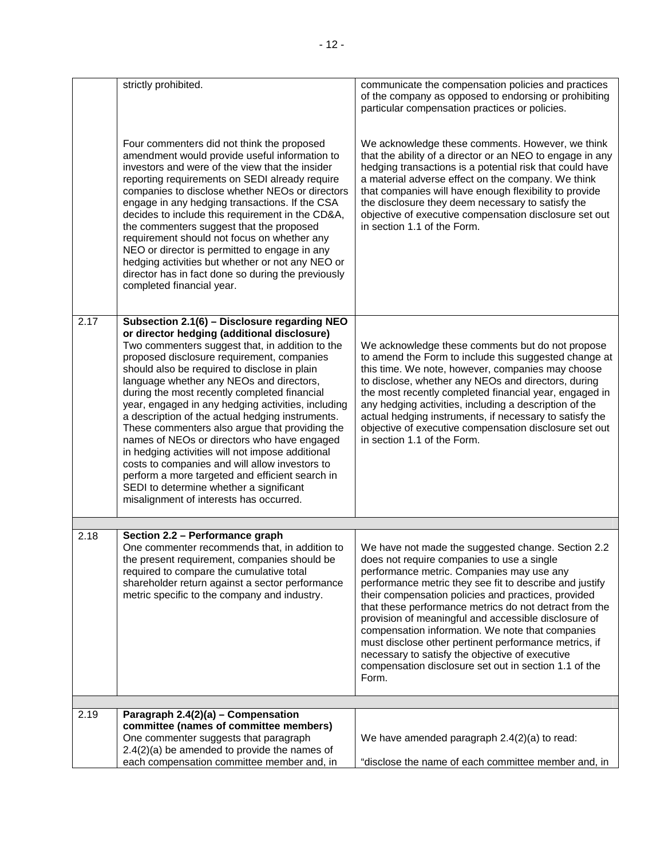|      | strictly prohibited.                                                                                                                                                                                                                                                                                                                                                                                                                                                                                                                                                                                                                                                                                                                                                                               | communicate the compensation policies and practices<br>of the company as opposed to endorsing or prohibiting<br>particular compensation practices or policies.                                                                                                                                                                                                                                                                                                                                                                                                                                                      |
|------|----------------------------------------------------------------------------------------------------------------------------------------------------------------------------------------------------------------------------------------------------------------------------------------------------------------------------------------------------------------------------------------------------------------------------------------------------------------------------------------------------------------------------------------------------------------------------------------------------------------------------------------------------------------------------------------------------------------------------------------------------------------------------------------------------|---------------------------------------------------------------------------------------------------------------------------------------------------------------------------------------------------------------------------------------------------------------------------------------------------------------------------------------------------------------------------------------------------------------------------------------------------------------------------------------------------------------------------------------------------------------------------------------------------------------------|
|      | Four commenters did not think the proposed<br>amendment would provide useful information to<br>investors and were of the view that the insider<br>reporting requirements on SEDI already require<br>companies to disclose whether NEOs or directors<br>engage in any hedging transactions. If the CSA<br>decides to include this requirement in the CD&A,<br>the commenters suggest that the proposed<br>requirement should not focus on whether any<br>NEO or director is permitted to engage in any<br>hedging activities but whether or not any NEO or<br>director has in fact done so during the previously<br>completed financial year.                                                                                                                                                       | We acknowledge these comments. However, we think<br>that the ability of a director or an NEO to engage in any<br>hedging transactions is a potential risk that could have<br>a material adverse effect on the company. We think<br>that companies will have enough flexibility to provide<br>the disclosure they deem necessary to satisfy the<br>objective of executive compensation disclosure set out<br>in section 1.1 of the Form.                                                                                                                                                                             |
| 2.17 | Subsection 2.1(6) - Disclosure regarding NEO<br>or director hedging (additional disclosure)<br>Two commenters suggest that, in addition to the<br>proposed disclosure requirement, companies<br>should also be required to disclose in plain<br>language whether any NEOs and directors,<br>during the most recently completed financial<br>year, engaged in any hedging activities, including<br>a description of the actual hedging instruments.<br>These commenters also argue that providing the<br>names of NEOs or directors who have engaged<br>in hedging activities will not impose additional<br>costs to companies and will allow investors to<br>perform a more targeted and efficient search in<br>SEDI to determine whether a significant<br>misalignment of interests has occurred. | We acknowledge these comments but do not propose<br>to amend the Form to include this suggested change at<br>this time. We note, however, companies may choose<br>to disclose, whether any NEOs and directors, during<br>the most recently completed financial year, engaged in<br>any hedging activities, including a description of the<br>actual hedging instruments, if necessary to satisfy the<br>objective of executive compensation disclosure set out<br>in section 1.1 of the Form.                                                                                                                       |
|      |                                                                                                                                                                                                                                                                                                                                                                                                                                                                                                                                                                                                                                                                                                                                                                                                    |                                                                                                                                                                                                                                                                                                                                                                                                                                                                                                                                                                                                                     |
| 2.18 | Section 2.2 - Performance graph<br>One commenter recommends that, in addition to<br>the present requirement, companies should be<br>required to compare the cumulative total<br>shareholder return against a sector performance<br>metric specific to the company and industry.                                                                                                                                                                                                                                                                                                                                                                                                                                                                                                                    | We have not made the suggested change. Section 2.2<br>does not require companies to use a single<br>performance metric. Companies may use any<br>performance metric they see fit to describe and justify<br>their compensation policies and practices, provided<br>that these performance metrics do not detract from the<br>provision of meaningful and accessible disclosure of<br>compensation information. We note that companies<br>must disclose other pertinent performance metrics, if<br>necessary to satisfy the objective of executive<br>compensation disclosure set out in section 1.1 of the<br>Form. |
| 2.19 | Paragraph 2.4(2)(a) - Compensation                                                                                                                                                                                                                                                                                                                                                                                                                                                                                                                                                                                                                                                                                                                                                                 |                                                                                                                                                                                                                                                                                                                                                                                                                                                                                                                                                                                                                     |
|      | committee (names of committee members)<br>One commenter suggests that paragraph<br>$2.4(2)(a)$ be amended to provide the names of<br>each compensation committee member and, in                                                                                                                                                                                                                                                                                                                                                                                                                                                                                                                                                                                                                    | We have amended paragraph 2.4(2)(a) to read:<br>"disclose the name of each committee member and, in                                                                                                                                                                                                                                                                                                                                                                                                                                                                                                                 |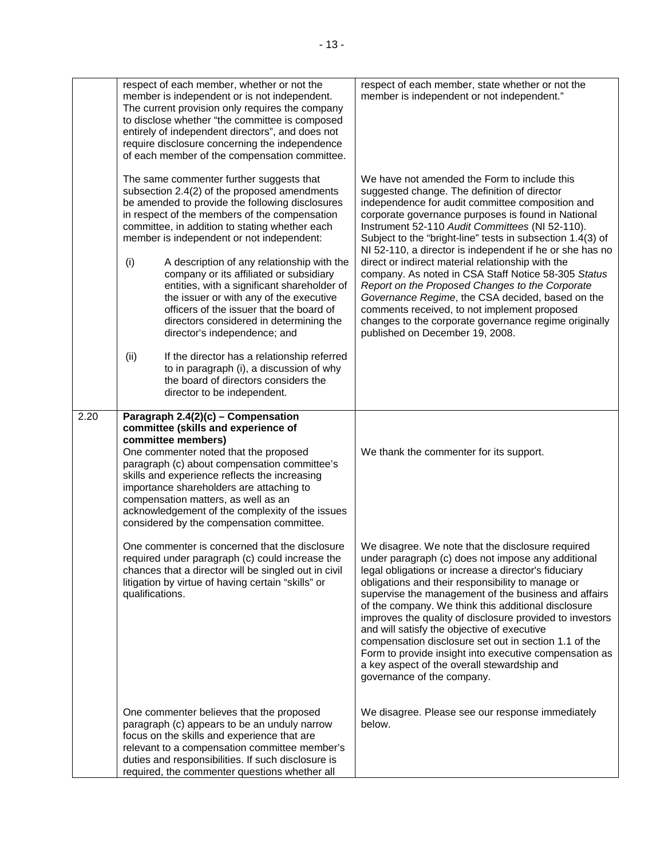| respect of each member, whether or not the<br>member is independent or is not independent.<br>The current provision only requires the company<br>to disclose whether "the committee is composed<br>entirely of independent directors", and does not<br>require disclosure concerning the independence<br>of each member of the compensation committee.                                                                                                                                                                                                                                                                                                                                                                                                  | respect of each member, state whether or not the<br>member is independent or not independent."                                                                                                                                                                                                                                                                                                                                                                                                                                                                                                                                                                                                                                                     |
|---------------------------------------------------------------------------------------------------------------------------------------------------------------------------------------------------------------------------------------------------------------------------------------------------------------------------------------------------------------------------------------------------------------------------------------------------------------------------------------------------------------------------------------------------------------------------------------------------------------------------------------------------------------------------------------------------------------------------------------------------------|----------------------------------------------------------------------------------------------------------------------------------------------------------------------------------------------------------------------------------------------------------------------------------------------------------------------------------------------------------------------------------------------------------------------------------------------------------------------------------------------------------------------------------------------------------------------------------------------------------------------------------------------------------------------------------------------------------------------------------------------------|
| The same commenter further suggests that<br>subsection 2.4(2) of the proposed amendments<br>be amended to provide the following disclosures<br>in respect of the members of the compensation<br>committee, in addition to stating whether each<br>member is independent or not independent:<br>A description of any relationship with the<br>(i)<br>company or its affiliated or subsidiary<br>entities, with a significant shareholder of<br>the issuer or with any of the executive<br>officers of the issuer that the board of<br>directors considered in determining the<br>director's independence; and<br>If the director has a relationship referred<br>(ii)<br>to in paragraph (i), a discussion of why<br>the board of directors considers the | We have not amended the Form to include this<br>suggested change. The definition of director<br>independence for audit committee composition and<br>corporate governance purposes is found in National<br>Instrument 52-110 Audit Committees (NI 52-110).<br>Subject to the "bright-line" tests in subsection 1.4(3) of<br>NI 52-110, a director is independent if he or she has no<br>direct or indirect material relationship with the<br>company. As noted in CSA Staff Notice 58-305 Status<br>Report on the Proposed Changes to the Corporate<br>Governance Regime, the CSA decided, based on the<br>comments received, to not implement proposed<br>changes to the corporate governance regime originally<br>published on December 19, 2008. |
| director to be independent.<br>2.20<br>Paragraph 2.4(2)(c) - Compensation<br>committee (skills and experience of<br>committee members)<br>One commenter noted that the proposed<br>paragraph (c) about compensation committee's<br>skills and experience reflects the increasing<br>importance shareholders are attaching to<br>compensation matters, as well as an<br>acknowledgement of the complexity of the issues<br>considered by the compensation committee.                                                                                                                                                                                                                                                                                     | We thank the commenter for its support.                                                                                                                                                                                                                                                                                                                                                                                                                                                                                                                                                                                                                                                                                                            |
| One commenter is concerned that the disclosure<br>required under paragraph (c) could increase the<br>chances that a director will be singled out in civil<br>litigation by virtue of having certain "skills" or<br>qualifications.                                                                                                                                                                                                                                                                                                                                                                                                                                                                                                                      | We disagree. We note that the disclosure required<br>under paragraph (c) does not impose any additional<br>legal obligations or increase a director's fiduciary<br>obligations and their responsibility to manage or<br>supervise the management of the business and affairs<br>of the company. We think this additional disclosure<br>improves the quality of disclosure provided to investors<br>and will satisfy the objective of executive<br>compensation disclosure set out in section 1.1 of the<br>Form to provide insight into executive compensation as<br>a key aspect of the overall stewardship and<br>governance of the company.                                                                                                     |
| One commenter believes that the proposed<br>paragraph (c) appears to be an unduly narrow<br>focus on the skills and experience that are<br>relevant to a compensation committee member's<br>duties and responsibilities. If such disclosure is<br>required, the commenter questions whether all                                                                                                                                                                                                                                                                                                                                                                                                                                                         | We disagree. Please see our response immediately<br>below.                                                                                                                                                                                                                                                                                                                                                                                                                                                                                                                                                                                                                                                                                         |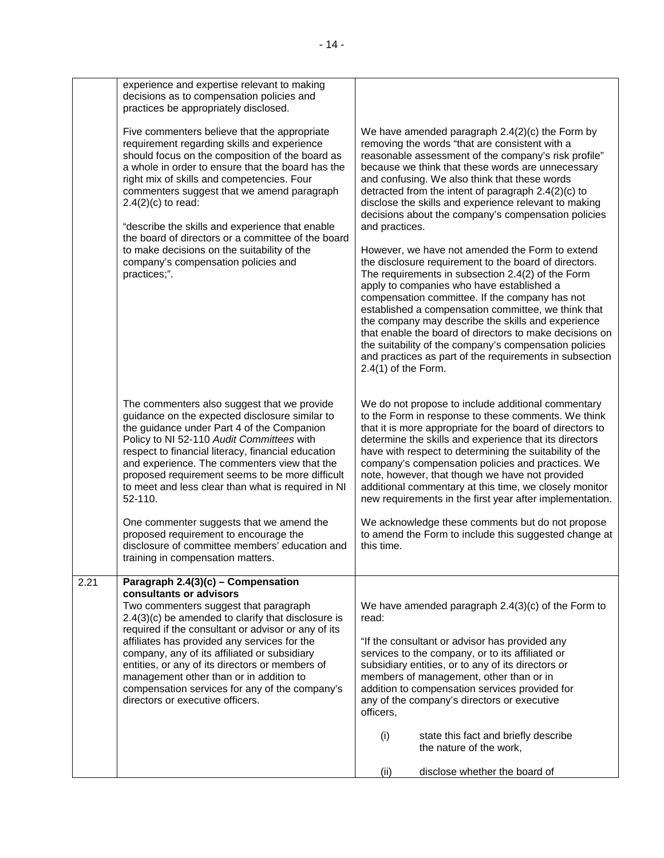|      | experience and expertise relevant to making<br>decisions as to compensation policies and<br>practices be appropriately disclosed.                                                                                                                                                                                                                                                                                                                                                                                                      |                                                                                                                                                                                                                                                                                                                                                                                                                                                                                                                                                                                                                                                                                                                                                                                                                                                                                                                                                                                                                                                  |
|------|----------------------------------------------------------------------------------------------------------------------------------------------------------------------------------------------------------------------------------------------------------------------------------------------------------------------------------------------------------------------------------------------------------------------------------------------------------------------------------------------------------------------------------------|--------------------------------------------------------------------------------------------------------------------------------------------------------------------------------------------------------------------------------------------------------------------------------------------------------------------------------------------------------------------------------------------------------------------------------------------------------------------------------------------------------------------------------------------------------------------------------------------------------------------------------------------------------------------------------------------------------------------------------------------------------------------------------------------------------------------------------------------------------------------------------------------------------------------------------------------------------------------------------------------------------------------------------------------------|
|      | Five commenters believe that the appropriate<br>requirement regarding skills and experience<br>should focus on the composition of the board as<br>a whole in order to ensure that the board has the<br>right mix of skills and competencies. Four<br>commenters suggest that we amend paragraph<br>$2.4(2)(c)$ to read:<br>"describe the skills and experience that enable<br>the board of directors or a committee of the board<br>to make decisions on the suitability of the<br>company's compensation policies and<br>practices;". | We have amended paragraph $2.4(2)(c)$ the Form by<br>removing the words "that are consistent with a<br>reasonable assessment of the company's risk profile"<br>because we think that these words are unnecessary<br>and confusing. We also think that these words<br>detracted from the intent of paragraph 2.4(2)(c) to<br>disclose the skills and experience relevant to making<br>decisions about the company's compensation policies<br>and practices.<br>However, we have not amended the Form to extend<br>the disclosure requirement to the board of directors.<br>The requirements in subsection 2.4(2) of the Form<br>apply to companies who have established a<br>compensation committee. If the company has not<br>established a compensation committee, we think that<br>the company may describe the skills and experience<br>that enable the board of directors to make decisions on<br>the suitability of the company's compensation policies<br>and practices as part of the requirements in subsection<br>$2.4(1)$ of the Form. |
|      | The commenters also suggest that we provide<br>guidance on the expected disclosure similar to<br>the guidance under Part 4 of the Companion<br>Policy to NI 52-110 Audit Committees with<br>respect to financial literacy, financial education<br>and experience. The commenters view that the<br>proposed requirement seems to be more difficult<br>to meet and less clear than what is required in NI<br>52-110.                                                                                                                     | We do not propose to include additional commentary<br>to the Form in response to these comments. We think<br>that it is more appropriate for the board of directors to<br>determine the skills and experience that its directors<br>have with respect to determining the suitability of the<br>company's compensation policies and practices. We<br>note, however, that though we have not provided<br>additional commentary at this time, we closely monitor<br>new requirements in the first year after implementation.                                                                                                                                                                                                                                                                                                                                                                                                                                                                                                                        |
|      | One commenter suggests that we amend the<br>proposed requirement to encourage the<br>disclosure of committee members' education and<br>training in compensation matters.                                                                                                                                                                                                                                                                                                                                                               | We acknowledge these comments but do not propose<br>to amend the Form to include this suggested change at<br>this time.                                                                                                                                                                                                                                                                                                                                                                                                                                                                                                                                                                                                                                                                                                                                                                                                                                                                                                                          |
| 2.21 | Paragraph 2.4(3)(c) - Compensation<br>consultants or advisors<br>Two commenters suggest that paragraph<br>$2.4(3)(c)$ be amended to clarify that disclosure is<br>required if the consultant or advisor or any of its<br>affiliates has provided any services for the<br>company, any of its affiliated or subsidiary<br>entities, or any of its directors or members of<br>management other than or in addition to<br>compensation services for any of the company's<br>directors or executive officers.                              | We have amended paragraph $2.4(3)(c)$ of the Form to<br>read:<br>"If the consultant or advisor has provided any<br>services to the company, or to its affiliated or<br>subsidiary entities, or to any of its directors or<br>members of management, other than or in<br>addition to compensation services provided for<br>any of the company's directors or executive<br>officers,<br>(i)<br>state this fact and briefly describe<br>the nature of the work,                                                                                                                                                                                                                                                                                                                                                                                                                                                                                                                                                                                     |
|      |                                                                                                                                                                                                                                                                                                                                                                                                                                                                                                                                        | (ii)<br>disclose whether the board of                                                                                                                                                                                                                                                                                                                                                                                                                                                                                                                                                                                                                                                                                                                                                                                                                                                                                                                                                                                                            |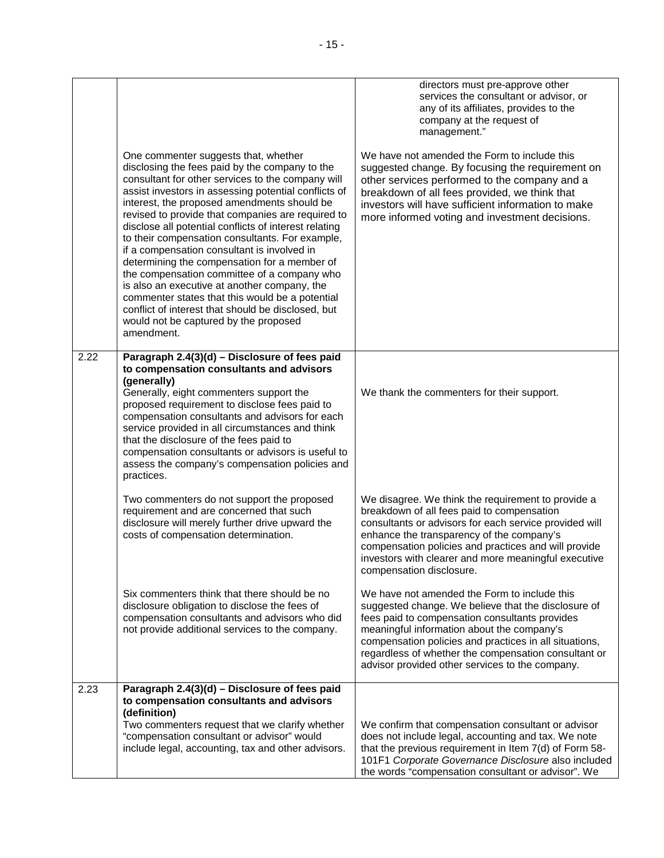|      |                                                                                                                                                                                                                                                                                                                                                                                                                                                                                                                                                                                                                                                                                                                                                                                   | directors must pre-approve other<br>services the consultant or advisor, or<br>any of its affiliates, provides to the<br>company at the request of<br>management."                                                                                                                                                                                                        |
|------|-----------------------------------------------------------------------------------------------------------------------------------------------------------------------------------------------------------------------------------------------------------------------------------------------------------------------------------------------------------------------------------------------------------------------------------------------------------------------------------------------------------------------------------------------------------------------------------------------------------------------------------------------------------------------------------------------------------------------------------------------------------------------------------|--------------------------------------------------------------------------------------------------------------------------------------------------------------------------------------------------------------------------------------------------------------------------------------------------------------------------------------------------------------------------|
|      | One commenter suggests that, whether<br>disclosing the fees paid by the company to the<br>consultant for other services to the company will<br>assist investors in assessing potential conflicts of<br>interest, the proposed amendments should be<br>revised to provide that companies are required to<br>disclose all potential conflicts of interest relating<br>to their compensation consultants. For example,<br>if a compensation consultant is involved in<br>determining the compensation for a member of<br>the compensation committee of a company who<br>is also an executive at another company, the<br>commenter states that this would be a potential<br>conflict of interest that should be disclosed, but<br>would not be captured by the proposed<br>amendment. | We have not amended the Form to include this<br>suggested change. By focusing the requirement on<br>other services performed to the company and a<br>breakdown of all fees provided, we think that<br>investors will have sufficient information to make<br>more informed voting and investment decisions.                                                               |
| 2.22 | Paragraph 2.4(3)(d) - Disclosure of fees paid<br>to compensation consultants and advisors<br>(generally)<br>Generally, eight commenters support the<br>proposed requirement to disclose fees paid to<br>compensation consultants and advisors for each<br>service provided in all circumstances and think<br>that the disclosure of the fees paid to<br>compensation consultants or advisors is useful to<br>assess the company's compensation policies and<br>practices.                                                                                                                                                                                                                                                                                                         | We thank the commenters for their support.                                                                                                                                                                                                                                                                                                                               |
|      | Two commenters do not support the proposed<br>requirement and are concerned that such<br>disclosure will merely further drive upward the<br>costs of compensation determination.                                                                                                                                                                                                                                                                                                                                                                                                                                                                                                                                                                                                  | We disagree. We think the requirement to provide a<br>breakdown of all fees paid to compensation<br>consultants or advisors for each service provided will<br>enhance the transparency of the company's<br>compensation policies and practices and will provide<br>investors with clearer and more meaningful executive<br>compensation disclosure.                      |
|      | Six commenters think that there should be no<br>disclosure obligation to disclose the fees of<br>compensation consultants and advisors who did<br>not provide additional services to the company.                                                                                                                                                                                                                                                                                                                                                                                                                                                                                                                                                                                 | We have not amended the Form to include this<br>suggested change. We believe that the disclosure of<br>fees paid to compensation consultants provides<br>meaningful information about the company's<br>compensation policies and practices in all situations,<br>regardless of whether the compensation consultant or<br>advisor provided other services to the company. |
| 2.23 | Paragraph 2.4(3)(d) - Disclosure of fees paid<br>to compensation consultants and advisors<br>(definition)<br>Two commenters request that we clarify whether<br>"compensation consultant or advisor" would<br>include legal, accounting, tax and other advisors.                                                                                                                                                                                                                                                                                                                                                                                                                                                                                                                   | We confirm that compensation consultant or advisor<br>does not include legal, accounting and tax. We note<br>that the previous requirement in Item 7(d) of Form 58-<br>101F1 Corporate Governance Disclosure also included<br>the words "compensation consultant or advisor". We                                                                                         |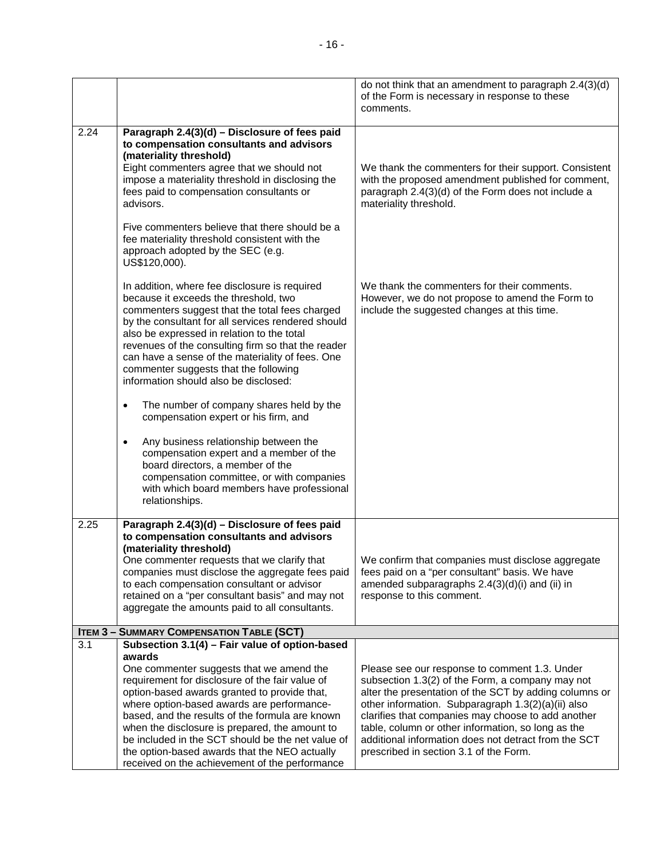|      |                                                                                                                                                                                                                                                                                                                                                                                                                                                        | do not think that an amendment to paragraph 2.4(3)(d)<br>of the Form is necessary in response to these<br>comments.                                                                                                                                                                                                                                                                                                             |
|------|--------------------------------------------------------------------------------------------------------------------------------------------------------------------------------------------------------------------------------------------------------------------------------------------------------------------------------------------------------------------------------------------------------------------------------------------------------|---------------------------------------------------------------------------------------------------------------------------------------------------------------------------------------------------------------------------------------------------------------------------------------------------------------------------------------------------------------------------------------------------------------------------------|
| 2.24 | Paragraph 2.4(3)(d) - Disclosure of fees paid<br>to compensation consultants and advisors<br>(materiality threshold)<br>Eight commenters agree that we should not<br>impose a materiality threshold in disclosing the<br>fees paid to compensation consultants or<br>advisors.<br>Five commenters believe that there should be a<br>fee materiality threshold consistent with the<br>approach adopted by the SEC (e.g.<br>US\$120,000).                | We thank the commenters for their support. Consistent<br>with the proposed amendment published for comment,<br>paragraph 2.4(3)(d) of the Form does not include a<br>materiality threshold.                                                                                                                                                                                                                                     |
|      | In addition, where fee disclosure is required<br>because it exceeds the threshold, two<br>commenters suggest that the total fees charged<br>by the consultant for all services rendered should<br>also be expressed in relation to the total<br>revenues of the consulting firm so that the reader<br>can have a sense of the materiality of fees. One<br>commenter suggests that the following<br>information should also be disclosed:               | We thank the commenters for their comments.<br>However, we do not propose to amend the Form to<br>include the suggested changes at this time.                                                                                                                                                                                                                                                                                   |
|      | The number of company shares held by the<br>$\bullet$<br>compensation expert or his firm, and                                                                                                                                                                                                                                                                                                                                                          |                                                                                                                                                                                                                                                                                                                                                                                                                                 |
|      | Any business relationship between the<br>$\bullet$<br>compensation expert and a member of the<br>board directors, a member of the<br>compensation committee, or with companies<br>with which board members have professional<br>relationships.                                                                                                                                                                                                         |                                                                                                                                                                                                                                                                                                                                                                                                                                 |
| 2.25 | Paragraph 2.4(3)(d) - Disclosure of fees paid<br>to compensation consultants and advisors<br>(materiality threshold)<br>One commenter requests that we clarify that<br>companies must disclose the aggregate fees paid<br>to each compensation consultant or advisor<br>retained on a "per consultant basis" and may not<br>aggregate the amounts paid to all consultants.                                                                             | We confirm that companies must disclose aggregate<br>fees paid on a "per consultant" basis. We have<br>amended subparagraphs 2.4(3)(d)(i) and (ii) in<br>response to this comment.                                                                                                                                                                                                                                              |
|      | <b>ITEM 3 - SUMMARY COMPENSATION TABLE (SCT)</b>                                                                                                                                                                                                                                                                                                                                                                                                       |                                                                                                                                                                                                                                                                                                                                                                                                                                 |
| 3.1  | Subsection 3.1(4) - Fair value of option-based<br>awards                                                                                                                                                                                                                                                                                                                                                                                               |                                                                                                                                                                                                                                                                                                                                                                                                                                 |
|      | One commenter suggests that we amend the<br>requirement for disclosure of the fair value of<br>option-based awards granted to provide that,<br>where option-based awards are performance-<br>based, and the results of the formula are known<br>when the disclosure is prepared, the amount to<br>be included in the SCT should be the net value of<br>the option-based awards that the NEO actually<br>received on the achievement of the performance | Please see our response to comment 1.3. Under<br>subsection 1.3(2) of the Form, a company may not<br>alter the presentation of the SCT by adding columns or<br>other information. Subparagraph 1.3(2)(a)(ii) also<br>clarifies that companies may choose to add another<br>table, column or other information, so long as the<br>additional information does not detract from the SCT<br>prescribed in section 3.1 of the Form. |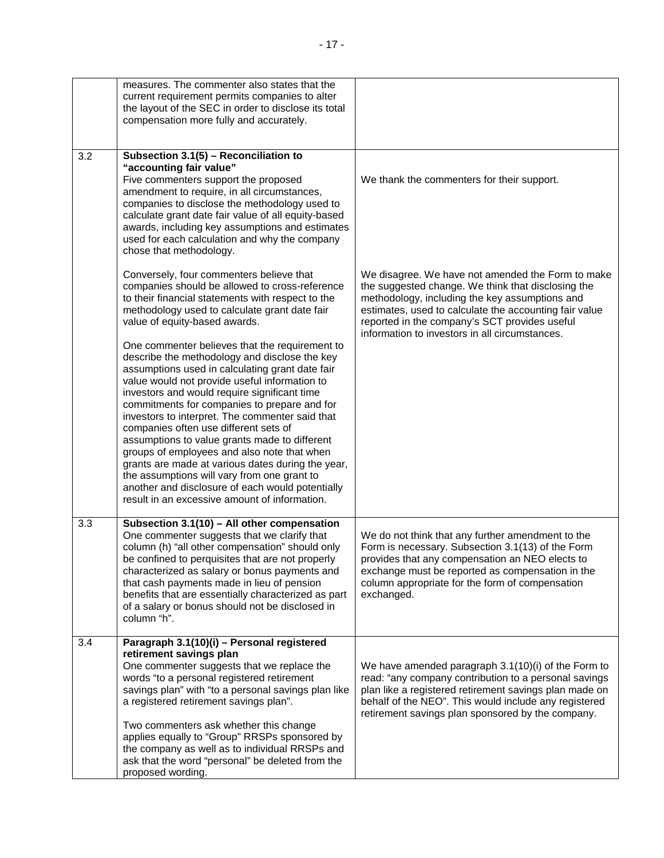|     | measures. The commenter also states that the<br>current requirement permits companies to alter<br>the layout of the SEC in order to disclose its total<br>compensation more fully and accurately.                                                                                                                                                                                                                                                                                                                                                                                                                                                                                                        |                                                                                                                                                                                                                                                                                                                        |
|-----|----------------------------------------------------------------------------------------------------------------------------------------------------------------------------------------------------------------------------------------------------------------------------------------------------------------------------------------------------------------------------------------------------------------------------------------------------------------------------------------------------------------------------------------------------------------------------------------------------------------------------------------------------------------------------------------------------------|------------------------------------------------------------------------------------------------------------------------------------------------------------------------------------------------------------------------------------------------------------------------------------------------------------------------|
| 3.2 | Subsection 3.1(5) - Reconciliation to<br>"accounting fair value"<br>Five commenters support the proposed<br>amendment to require, in all circumstances,<br>companies to disclose the methodology used to<br>calculate grant date fair value of all equity-based<br>awards, including key assumptions and estimates<br>used for each calculation and why the company<br>chose that methodology.                                                                                                                                                                                                                                                                                                           | We thank the commenters for their support.                                                                                                                                                                                                                                                                             |
|     | Conversely, four commenters believe that<br>companies should be allowed to cross-reference<br>to their financial statements with respect to the<br>methodology used to calculate grant date fair<br>value of equity-based awards.                                                                                                                                                                                                                                                                                                                                                                                                                                                                        | We disagree. We have not amended the Form to make<br>the suggested change. We think that disclosing the<br>methodology, including the key assumptions and<br>estimates, used to calculate the accounting fair value<br>reported in the company's SCT provides useful<br>information to investors in all circumstances. |
|     | One commenter believes that the requirement to<br>describe the methodology and disclose the key<br>assumptions used in calculating grant date fair<br>value would not provide useful information to<br>investors and would require significant time<br>commitments for companies to prepare and for<br>investors to interpret. The commenter said that<br>companies often use different sets of<br>assumptions to value grants made to different<br>groups of employees and also note that when<br>grants are made at various dates during the year,<br>the assumptions will vary from one grant to<br>another and disclosure of each would potentially<br>result in an excessive amount of information. |                                                                                                                                                                                                                                                                                                                        |
| 3.3 | Subsection 3.1(10) - All other compensation<br>One commenter suggests that we clarify that<br>column (h) "all other compensation" should only<br>be confined to perquisites that are not properly<br>characterized as salary or bonus payments and<br>that cash payments made in lieu of pension<br>benefits that are essentially characterized as part<br>of a salary or bonus should not be disclosed in<br>column "h".                                                                                                                                                                                                                                                                                | We do not think that any further amendment to the<br>Form is necessary. Subsection 3.1(13) of the Form<br>provides that any compensation an NEO elects to<br>exchange must be reported as compensation in the<br>column appropriate for the form of compensation<br>exchanged.                                         |
| 3.4 | Paragraph 3.1(10)(i) - Personal registered<br>retirement savings plan<br>One commenter suggests that we replace the<br>words "to a personal registered retirement<br>savings plan" with "to a personal savings plan like<br>a registered retirement savings plan".<br>Two commenters ask whether this change<br>applies equally to "Group" RRSPs sponsored by<br>the company as well as to individual RRSPs and<br>ask that the word "personal" be deleted from the<br>proposed wording.                                                                                                                                                                                                                 | We have amended paragraph 3.1(10)(i) of the Form to<br>read: "any company contribution to a personal savings<br>plan like a registered retirement savings plan made on<br>behalf of the NEO". This would include any registered<br>retirement savings plan sponsored by the company.                                   |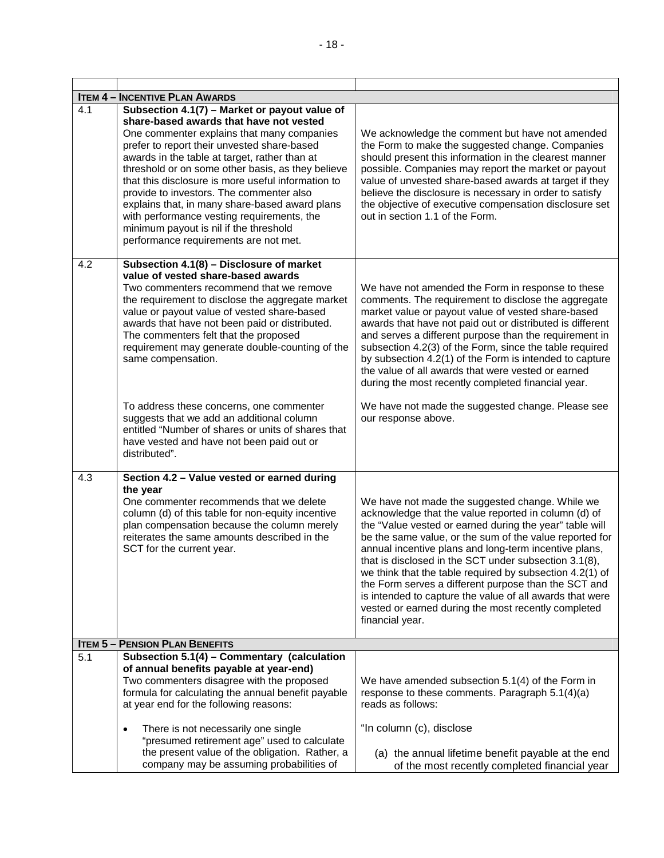| <b>ITEM 4 - INCENTIVE PLAN AWARDS</b> |                                                                                                                                                                                                                                                                                                                                                                                                                                                                                                                                                                                    |                                                                                                                                                                                                                                                                                                                                                                                                                                                                                                                                                                                                           |  |
|---------------------------------------|------------------------------------------------------------------------------------------------------------------------------------------------------------------------------------------------------------------------------------------------------------------------------------------------------------------------------------------------------------------------------------------------------------------------------------------------------------------------------------------------------------------------------------------------------------------------------------|-----------------------------------------------------------------------------------------------------------------------------------------------------------------------------------------------------------------------------------------------------------------------------------------------------------------------------------------------------------------------------------------------------------------------------------------------------------------------------------------------------------------------------------------------------------------------------------------------------------|--|
| 4.1                                   | Subsection $4.1(7)$ – Market or payout value of<br>share-based awards that have not vested<br>One commenter explains that many companies<br>prefer to report their unvested share-based<br>awards in the table at target, rather than at<br>threshold or on some other basis, as they believe<br>that this disclosure is more useful information to<br>provide to investors. The commenter also<br>explains that, in many share-based award plans<br>with performance vesting requirements, the<br>minimum payout is nil if the threshold<br>performance requirements are not met. | We acknowledge the comment but have not amended<br>the Form to make the suggested change. Companies<br>should present this information in the clearest manner<br>possible. Companies may report the market or payout<br>value of unvested share-based awards at target if they<br>believe the disclosure is necessary in order to satisfy<br>the objective of executive compensation disclosure set<br>out in section 1.1 of the Form.                                                                                                                                                                    |  |
| 4.2                                   | Subsection 4.1(8) - Disclosure of market<br>value of vested share-based awards<br>Two commenters recommend that we remove<br>the requirement to disclose the aggregate market<br>value or payout value of vested share-based<br>awards that have not been paid or distributed.<br>The commenters felt that the proposed<br>requirement may generate double-counting of the<br>same compensation.                                                                                                                                                                                   | We have not amended the Form in response to these<br>comments. The requirement to disclose the aggregate<br>market value or payout value of vested share-based<br>awards that have not paid out or distributed is different<br>and serves a different purpose than the requirement in<br>subsection 4.2(3) of the Form, since the table required<br>by subsection 4.2(1) of the Form is intended to capture<br>the value of all awards that were vested or earned<br>during the most recently completed financial year.                                                                                   |  |
|                                       | To address these concerns, one commenter<br>suggests that we add an additional column<br>entitled "Number of shares or units of shares that<br>have vested and have not been paid out or<br>distributed".                                                                                                                                                                                                                                                                                                                                                                          | We have not made the suggested change. Please see<br>our response above.                                                                                                                                                                                                                                                                                                                                                                                                                                                                                                                                  |  |
| 4.3                                   | Section 4.2 - Value vested or earned during                                                                                                                                                                                                                                                                                                                                                                                                                                                                                                                                        |                                                                                                                                                                                                                                                                                                                                                                                                                                                                                                                                                                                                           |  |
|                                       | the year<br>One commenter recommends that we delete<br>column (d) of this table for non-equity incentive<br>plan compensation because the column merely<br>reiterates the same amounts described in the<br>SCT for the current year.                                                                                                                                                                                                                                                                                                                                               | We have not made the suggested change. While we<br>acknowledge that the value reported in column (d) of<br>the "Value vested or earned during the year" table will<br>be the same value, or the sum of the value reported for<br>annual incentive plans and long-term incentive plans,<br>that is disclosed in the SCT under subsection 3.1(8),<br>we think that the table required by subsection 4.2(1) of<br>the Form serves a different purpose than the SCT and<br>is intended to capture the value of all awards that were<br>vested or earned during the most recently completed<br>financial year. |  |
|                                       | <b>ITEM 5 - PENSION PLAN BENEFITS</b>                                                                                                                                                                                                                                                                                                                                                                                                                                                                                                                                              |                                                                                                                                                                                                                                                                                                                                                                                                                                                                                                                                                                                                           |  |
| 5.1                                   | Subsection 5.1(4) - Commentary (calculation<br>of annual benefits payable at year-end)<br>Two commenters disagree with the proposed<br>formula for calculating the annual benefit payable<br>at year end for the following reasons:                                                                                                                                                                                                                                                                                                                                                | We have amended subsection 5.1(4) of the Form in<br>response to these comments. Paragraph 5.1(4)(a)<br>reads as follows:                                                                                                                                                                                                                                                                                                                                                                                                                                                                                  |  |
|                                       | There is not necessarily one single<br>٠<br>"presumed retirement age" used to calculate<br>the present value of the obligation. Rather, a<br>company may be assuming probabilities of                                                                                                                                                                                                                                                                                                                                                                                              | "In column (c), disclose<br>(a) the annual lifetime benefit payable at the end<br>of the most recently completed financial year                                                                                                                                                                                                                                                                                                                                                                                                                                                                           |  |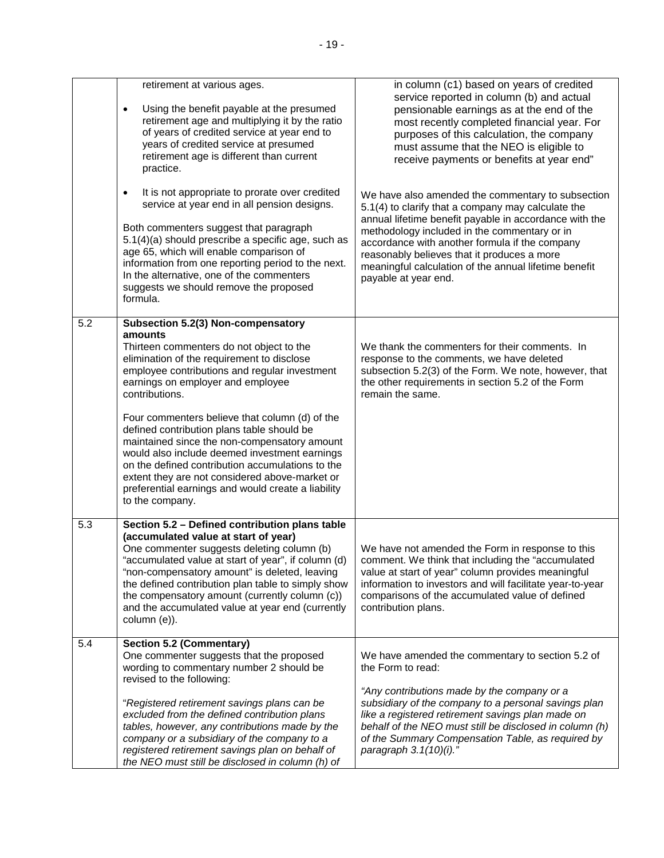|     | retirement at various ages.<br>Using the benefit payable at the presumed<br>$\bullet$<br>retirement age and multiplying it by the ratio<br>of years of credited service at year end to<br>years of credited service at presumed<br>retirement age is different than current<br>practice.                                                                                                                                                                    | in column (c1) based on years of credited<br>service reported in column (b) and actual<br>pensionable earnings as at the end of the<br>most recently completed financial year. For<br>purposes of this calculation, the company<br>must assume that the NEO is eligible to<br>receive payments or benefits at year end"                                                                             |
|-----|-------------------------------------------------------------------------------------------------------------------------------------------------------------------------------------------------------------------------------------------------------------------------------------------------------------------------------------------------------------------------------------------------------------------------------------------------------------|-----------------------------------------------------------------------------------------------------------------------------------------------------------------------------------------------------------------------------------------------------------------------------------------------------------------------------------------------------------------------------------------------------|
|     | It is not appropriate to prorate over credited<br>$\bullet$<br>service at year end in all pension designs.<br>Both commenters suggest that paragraph<br>5.1(4)(a) should prescribe a specific age, such as<br>age 65, which will enable comparison of<br>information from one reporting period to the next.<br>In the alternative, one of the commenters<br>suggests we should remove the proposed<br>formula.                                              | We have also amended the commentary to subsection<br>5.1(4) to clarify that a company may calculate the<br>annual lifetime benefit payable in accordance with the<br>methodology included in the commentary or in<br>accordance with another formula if the company<br>reasonably believes that it produces a more<br>meaningful calculation of the annual lifetime benefit<br>payable at year end. |
| 5.2 | Subsection 5.2(3) Non-compensatory<br>amounts<br>Thirteen commenters do not object to the<br>elimination of the requirement to disclose<br>employee contributions and regular investment<br>earnings on employer and employee<br>contributions.                                                                                                                                                                                                             | We thank the commenters for their comments. In<br>response to the comments, we have deleted<br>subsection 5.2(3) of the Form. We note, however, that<br>the other requirements in section 5.2 of the Form<br>remain the same.                                                                                                                                                                       |
|     | Four commenters believe that column (d) of the<br>defined contribution plans table should be<br>maintained since the non-compensatory amount<br>would also include deemed investment earnings<br>on the defined contribution accumulations to the<br>extent they are not considered above-market or<br>preferential earnings and would create a liability<br>to the company.                                                                                |                                                                                                                                                                                                                                                                                                                                                                                                     |
| 5.3 | Section 5.2 - Defined contribution plans table<br>(accumulated value at start of year)<br>One commenter suggests deleting column (b)<br>"accumulated value at start of year", if column (d)<br>"non-compensatory amount" is deleted, leaving<br>the defined contribution plan table to simply show<br>the compensatory amount (currently column (c))<br>and the accumulated value at year end (currently<br>column (e)).                                    | We have not amended the Form in response to this<br>comment. We think that including the "accumulated<br>value at start of year" column provides meaningful<br>information to investors and will facilitate year-to-year<br>comparisons of the accumulated value of defined<br>contribution plans.                                                                                                  |
| 5.4 | <b>Section 5.2 (Commentary)</b><br>One commenter suggests that the proposed<br>wording to commentary number 2 should be<br>revised to the following:<br>"Registered retirement savings plans can be<br>excluded from the defined contribution plans<br>tables, however, any contributions made by the<br>company or a subsidiary of the company to a<br>registered retirement savings plan on behalf of<br>the NEO must still be disclosed in column (h) of | We have amended the commentary to section 5.2 of<br>the Form to read:<br>"Any contributions made by the company or a<br>subsidiary of the company to a personal savings plan<br>like a registered retirement savings plan made on<br>behalf of the NEO must still be disclosed in column (h)<br>of the Summary Compensation Table, as required by<br>paragraph $3.1(10)(i)$ ."                      |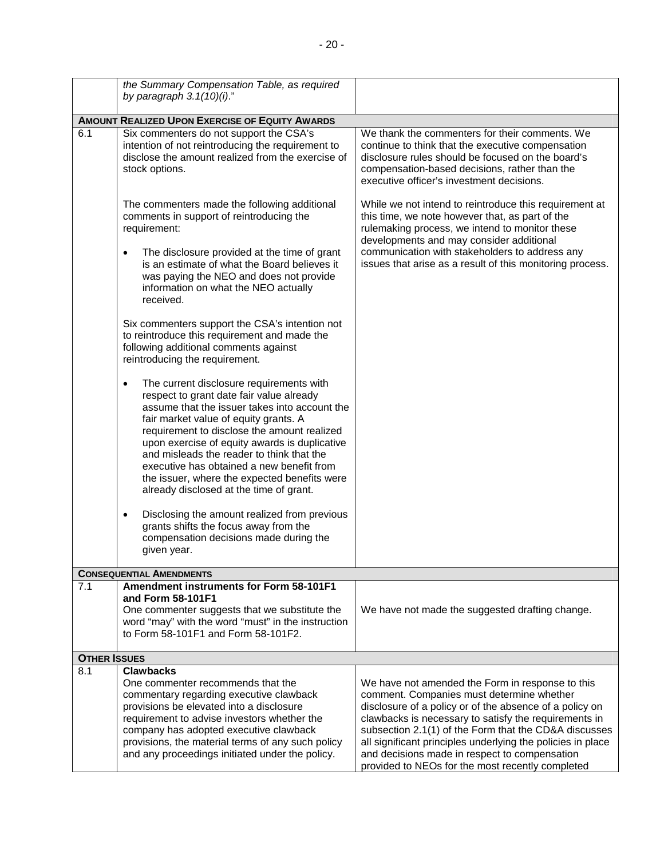|                     | the Summary Compensation Table, as required<br>by paragraph $3.1(10)(i)$ ."                                                                                                                                                                                                                                                                                                                                                                                                      |                                                                                                                                                                                                                                                                                                                                                                                                                                                |
|---------------------|----------------------------------------------------------------------------------------------------------------------------------------------------------------------------------------------------------------------------------------------------------------------------------------------------------------------------------------------------------------------------------------------------------------------------------------------------------------------------------|------------------------------------------------------------------------------------------------------------------------------------------------------------------------------------------------------------------------------------------------------------------------------------------------------------------------------------------------------------------------------------------------------------------------------------------------|
|                     | <b>AMOUNT REALIZED UPON EXERCISE OF EQUITY AWARDS</b>                                                                                                                                                                                                                                                                                                                                                                                                                            |                                                                                                                                                                                                                                                                                                                                                                                                                                                |
| 6.1                 | Six commenters do not support the CSA's<br>intention of not reintroducing the requirement to<br>disclose the amount realized from the exercise of<br>stock options.                                                                                                                                                                                                                                                                                                              | We thank the commenters for their comments. We<br>continue to think that the executive compensation<br>disclosure rules should be focused on the board's<br>compensation-based decisions, rather than the<br>executive officer's investment decisions.                                                                                                                                                                                         |
|                     | The commenters made the following additional<br>comments in support of reintroducing the<br>requirement:<br>The disclosure provided at the time of grant<br>$\bullet$                                                                                                                                                                                                                                                                                                            | While we not intend to reintroduce this requirement at<br>this time, we note however that, as part of the<br>rulemaking process, we intend to monitor these<br>developments and may consider additional<br>communication with stakeholders to address any                                                                                                                                                                                      |
|                     | is an estimate of what the Board believes it<br>was paying the NEO and does not provide<br>information on what the NEO actually<br>received.                                                                                                                                                                                                                                                                                                                                     | issues that arise as a result of this monitoring process.                                                                                                                                                                                                                                                                                                                                                                                      |
|                     | Six commenters support the CSA's intention not<br>to reintroduce this requirement and made the<br>following additional comments against<br>reintroducing the requirement.                                                                                                                                                                                                                                                                                                        |                                                                                                                                                                                                                                                                                                                                                                                                                                                |
|                     | The current disclosure requirements with<br>$\bullet$<br>respect to grant date fair value already<br>assume that the issuer takes into account the<br>fair market value of equity grants. A<br>requirement to disclose the amount realized<br>upon exercise of equity awards is duplicative<br>and misleads the reader to think that the<br>executive has obtained a new benefit from<br>the issuer, where the expected benefits were<br>already disclosed at the time of grant. |                                                                                                                                                                                                                                                                                                                                                                                                                                                |
|                     | Disclosing the amount realized from previous<br>$\bullet$<br>grants shifts the focus away from the<br>compensation decisions made during the<br>given year.                                                                                                                                                                                                                                                                                                                      |                                                                                                                                                                                                                                                                                                                                                                                                                                                |
|                     | <b>CONSEQUENTIAL AMENDMENTS</b>                                                                                                                                                                                                                                                                                                                                                                                                                                                  |                                                                                                                                                                                                                                                                                                                                                                                                                                                |
| 7.1                 | Amendment instruments for Form 58-101F1<br>and Form 58-101F1<br>One commenter suggests that we substitute the<br>word "may" with the word "must" in the instruction<br>to Form 58-101F1 and Form 58-101F2.                                                                                                                                                                                                                                                                       | We have not made the suggested drafting change.                                                                                                                                                                                                                                                                                                                                                                                                |
| <b>OTHER ISSUES</b> |                                                                                                                                                                                                                                                                                                                                                                                                                                                                                  |                                                                                                                                                                                                                                                                                                                                                                                                                                                |
| 8.1                 | <b>Clawbacks</b><br>One commenter recommends that the<br>commentary regarding executive clawback<br>provisions be elevated into a disclosure<br>requirement to advise investors whether the<br>company has adopted executive clawback<br>provisions, the material terms of any such policy<br>and any proceedings initiated under the policy.                                                                                                                                    | We have not amended the Form in response to this<br>comment. Companies must determine whether<br>disclosure of a policy or of the absence of a policy on<br>clawbacks is necessary to satisfy the requirements in<br>subsection 2.1(1) of the Form that the CD&A discusses<br>all significant principles underlying the policies in place<br>and decisions made in respect to compensation<br>provided to NEOs for the most recently completed |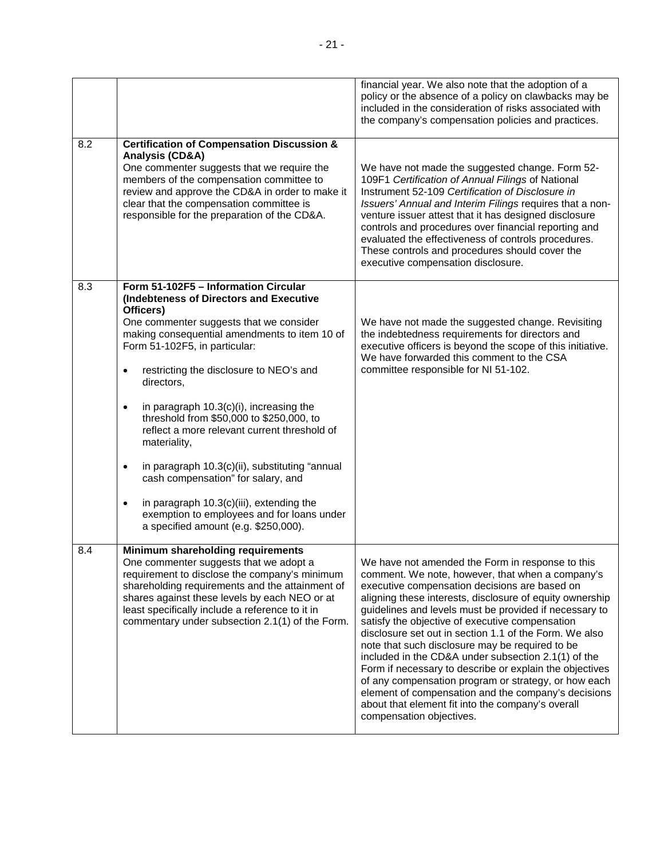|     |                                                                                                                                                                                                                                                                                                                                                                                                                                                                                                                                                                                                                                                                                                                 | financial year. We also note that the adoption of a<br>policy or the absence of a policy on clawbacks may be<br>included in the consideration of risks associated with<br>the company's compensation policies and practices.                                                                                                                                                                                                                                                                                                                                                                                                                                                                                                                                  |
|-----|-----------------------------------------------------------------------------------------------------------------------------------------------------------------------------------------------------------------------------------------------------------------------------------------------------------------------------------------------------------------------------------------------------------------------------------------------------------------------------------------------------------------------------------------------------------------------------------------------------------------------------------------------------------------------------------------------------------------|---------------------------------------------------------------------------------------------------------------------------------------------------------------------------------------------------------------------------------------------------------------------------------------------------------------------------------------------------------------------------------------------------------------------------------------------------------------------------------------------------------------------------------------------------------------------------------------------------------------------------------------------------------------------------------------------------------------------------------------------------------------|
| 8.2 | <b>Certification of Compensation Discussion &amp;</b><br>Analysis (CD&A)<br>One commenter suggests that we require the<br>members of the compensation committee to<br>review and approve the CD&A in order to make it<br>clear that the compensation committee is<br>responsible for the preparation of the CD&A.                                                                                                                                                                                                                                                                                                                                                                                               | We have not made the suggested change. Form 52-<br>109F1 Certification of Annual Filings of National<br>Instrument 52-109 Certification of Disclosure in<br>Issuers' Annual and Interim Filings requires that a non-<br>venture issuer attest that it has designed disclosure<br>controls and procedures over financial reporting and<br>evaluated the effectiveness of controls procedures.<br>These controls and procedures should cover the<br>executive compensation disclosure.                                                                                                                                                                                                                                                                          |
| 8.3 | Form 51-102F5 - Information Circular<br>(Indebteness of Directors and Executive<br>Officers)<br>One commenter suggests that we consider<br>making consequential amendments to item 10 of<br>Form 51-102F5, in particular:<br>restricting the disclosure to NEO's and<br>$\bullet$<br>directors,<br>in paragraph 10.3(c)(i), increasing the<br>٠<br>threshold from \$50,000 to \$250,000, to<br>reflect a more relevant current threshold of<br>materiality,<br>in paragraph 10.3(c)(ii), substituting "annual<br>$\bullet$<br>cash compensation" for salary, and<br>in paragraph 10.3(c)(iii), extending the<br>$\bullet$<br>exemption to employees and for loans under<br>a specified amount (e.g. \$250,000). | We have not made the suggested change. Revisiting<br>the indebtedness requirements for directors and<br>executive officers is beyond the scope of this initiative.<br>We have forwarded this comment to the CSA<br>committee responsible for NI 51-102.                                                                                                                                                                                                                                                                                                                                                                                                                                                                                                       |
| 8.4 | Minimum shareholding requirements<br>One commenter suggests that we adopt a<br>requirement to disclose the company's minimum<br>shareholding requirements and the attainment of<br>shares against these levels by each NEO or at<br>least specifically include a reference to it in<br>commentary under subsection 2.1(1) of the Form.                                                                                                                                                                                                                                                                                                                                                                          | We have not amended the Form in response to this<br>comment. We note, however, that when a company's<br>executive compensation decisions are based on<br>aligning these interests, disclosure of equity ownership<br>guidelines and levels must be provided if necessary to<br>satisfy the objective of executive compensation<br>disclosure set out in section 1.1 of the Form. We also<br>note that such disclosure may be required to be<br>included in the CD&A under subsection 2.1(1) of the<br>Form if necessary to describe or explain the objectives<br>of any compensation program or strategy, or how each<br>element of compensation and the company's decisions<br>about that element fit into the company's overall<br>compensation objectives. |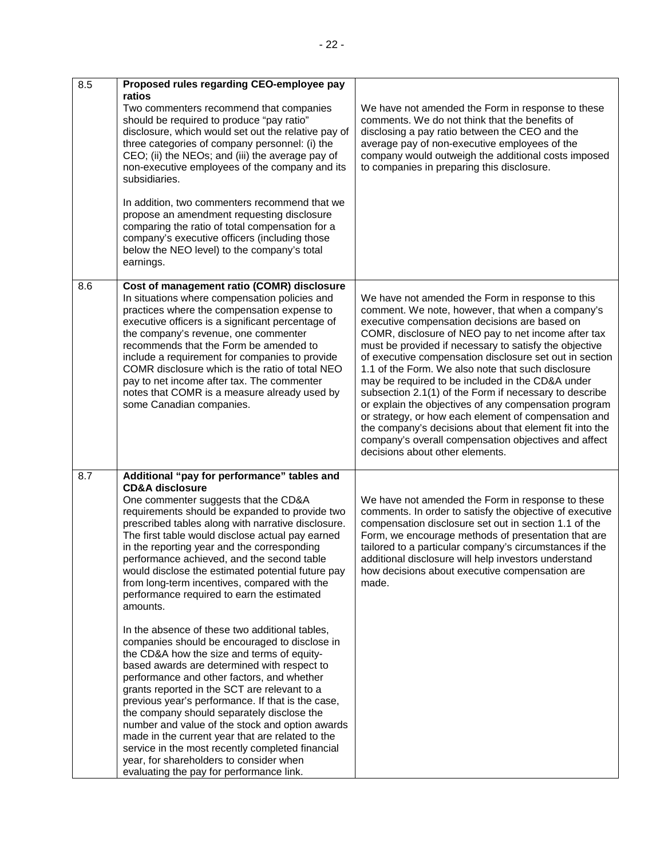| 8.5 | Proposed rules regarding CEO-employee pay                                                                                                                                                                                                                                                                                                                                                                                                                                                                                                                                                                                                                                                                                                                                                                                                                                                                                                                                                                                                                                                             |                                                                                                                                                                                                                                                                                                                                                                                                                                                                                                                                                                                                                                                                                                                                                                              |
|-----|-------------------------------------------------------------------------------------------------------------------------------------------------------------------------------------------------------------------------------------------------------------------------------------------------------------------------------------------------------------------------------------------------------------------------------------------------------------------------------------------------------------------------------------------------------------------------------------------------------------------------------------------------------------------------------------------------------------------------------------------------------------------------------------------------------------------------------------------------------------------------------------------------------------------------------------------------------------------------------------------------------------------------------------------------------------------------------------------------------|------------------------------------------------------------------------------------------------------------------------------------------------------------------------------------------------------------------------------------------------------------------------------------------------------------------------------------------------------------------------------------------------------------------------------------------------------------------------------------------------------------------------------------------------------------------------------------------------------------------------------------------------------------------------------------------------------------------------------------------------------------------------------|
|     | ratios<br>Two commenters recommend that companies<br>should be required to produce "pay ratio"<br>disclosure, which would set out the relative pay of<br>three categories of company personnel: (i) the<br>CEO; (ii) the NEOs; and (iii) the average pay of<br>non-executive employees of the company and its<br>subsidiaries.<br>In addition, two commenters recommend that we<br>propose an amendment requesting disclosure<br>comparing the ratio of total compensation for a<br>company's executive officers (including those<br>below the NEO level) to the company's total<br>earnings.                                                                                                                                                                                                                                                                                                                                                                                                                                                                                                         | We have not amended the Form in response to these<br>comments. We do not think that the benefits of<br>disclosing a pay ratio between the CEO and the<br>average pay of non-executive employees of the<br>company would outweigh the additional costs imposed<br>to companies in preparing this disclosure.                                                                                                                                                                                                                                                                                                                                                                                                                                                                  |
| 8.6 | Cost of management ratio (COMR) disclosure<br>In situations where compensation policies and<br>practices where the compensation expense to<br>executive officers is a significant percentage of<br>the company's revenue, one commenter<br>recommends that the Form be amended to<br>include a requirement for companies to provide<br>COMR disclosure which is the ratio of total NEO<br>pay to net income after tax. The commenter<br>notes that COMR is a measure already used by<br>some Canadian companies.                                                                                                                                                                                                                                                                                                                                                                                                                                                                                                                                                                                      | We have not amended the Form in response to this<br>comment. We note, however, that when a company's<br>executive compensation decisions are based on<br>COMR, disclosure of NEO pay to net income after tax<br>must be provided if necessary to satisfy the objective<br>of executive compensation disclosure set out in section<br>1.1 of the Form. We also note that such disclosure<br>may be required to be included in the CD&A under<br>subsection 2.1(1) of the Form if necessary to describe<br>or explain the objectives of any compensation program<br>or strategy, or how each element of compensation and<br>the company's decisions about that element fit into the<br>company's overall compensation objectives and affect<br>decisions about other elements. |
| 8.7 | Additional "pay for performance" tables and<br><b>CD&amp;A disclosure</b><br>One commenter suggests that the CD&A<br>requirements should be expanded to provide two<br>prescribed tables along with narrative disclosure.<br>The first table would disclose actual pay earned<br>in the reporting year and the corresponding<br>performance achieved, and the second table<br>would disclose the estimated potential future pay<br>from long-term incentives, compared with the<br>performance required to earn the estimated<br>amounts.<br>In the absence of these two additional tables,<br>companies should be encouraged to disclose in<br>the CD&A how the size and terms of equity-<br>based awards are determined with respect to<br>performance and other factors, and whether<br>grants reported in the SCT are relevant to a<br>previous year's performance. If that is the case,<br>the company should separately disclose the<br>number and value of the stock and option awards<br>made in the current year that are related to the<br>service in the most recently completed financial | We have not amended the Form in response to these<br>comments. In order to satisfy the objective of executive<br>compensation disclosure set out in section 1.1 of the<br>Form, we encourage methods of presentation that are<br>tailored to a particular company's circumstances if the<br>additional disclosure will help investors understand<br>how decisions about executive compensation are<br>made.                                                                                                                                                                                                                                                                                                                                                                  |
|     | year, for shareholders to consider when<br>evaluating the pay for performance link.                                                                                                                                                                                                                                                                                                                                                                                                                                                                                                                                                                                                                                                                                                                                                                                                                                                                                                                                                                                                                   |                                                                                                                                                                                                                                                                                                                                                                                                                                                                                                                                                                                                                                                                                                                                                                              |